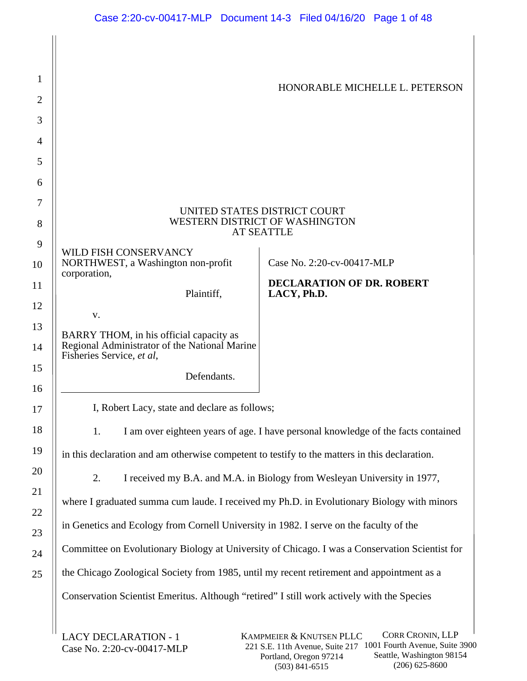| 1              |                                                                                               |                                                                                                |  |
|----------------|-----------------------------------------------------------------------------------------------|------------------------------------------------------------------------------------------------|--|
| $\overline{2}$ |                                                                                               | HONORABLE MICHELLE L. PETERSON                                                                 |  |
| 3              |                                                                                               |                                                                                                |  |
| 4              |                                                                                               |                                                                                                |  |
| 5              |                                                                                               |                                                                                                |  |
| 6              |                                                                                               |                                                                                                |  |
| 7              |                                                                                               | UNITED STATES DISTRICT COURT                                                                   |  |
| 8              |                                                                                               | WESTERN DISTRICT OF WASHINGTON<br><b>AT SEATTLE</b>                                            |  |
| 9              | WILD FISH CONSERVANCY                                                                         |                                                                                                |  |
| 10             | NORTHWEST, a Washington non-profit<br>corporation,                                            | Case No. 2:20-cv-00417-MLP                                                                     |  |
| 11             | Plaintiff,                                                                                    | <b>DECLARATION OF DR. ROBERT</b><br>LACY, Ph.D.                                                |  |
| 12             | V.                                                                                            |                                                                                                |  |
| 13             | BARRY THOM, in his official capacity as                                                       |                                                                                                |  |
| 14             | Regional Administrator of the National Marine<br>Fisheries Service, et al,                    |                                                                                                |  |
| 15<br>16       | Defendants.                                                                                   |                                                                                                |  |
| 17             | I, Robert Lacy, state and declare as follows;                                                 |                                                                                                |  |
| 18             | 1.                                                                                            | I am over eighteen years of age. I have personal knowledge of the facts contained              |  |
| 19             | in this declaration and am otherwise competent to testify to the matters in this declaration. |                                                                                                |  |
| 20             | 2.<br>I received my B.A. and M.A. in Biology from Wesleyan University in 1977,                |                                                                                                |  |
| 21<br>22       | where I graduated summa cum laude. I received my Ph.D. in Evolutionary Biology with minors    |                                                                                                |  |
| 23             | in Genetics and Ecology from Cornell University in 1982. I serve on the faculty of the        |                                                                                                |  |
| 24             |                                                                                               | Committee on Evolutionary Biology at University of Chicago. I was a Conservation Scientist for |  |
| 25             | the Chicago Zoological Society from 1985, until my recent retirement and appointment as a     |                                                                                                |  |
|                | Conservation Scientist Emeritus. Although "retired" I still work actively with the Species    |                                                                                                |  |
|                | LACY DECLARATION - 1                                                                          | <b>CORR CRONIN, LLP</b><br>KAMPMEIER $\&$ KNIITSEN PLLC                                        |  |

LACY DECLARATION - 1 Case No. 2:20-cv-00417-MLP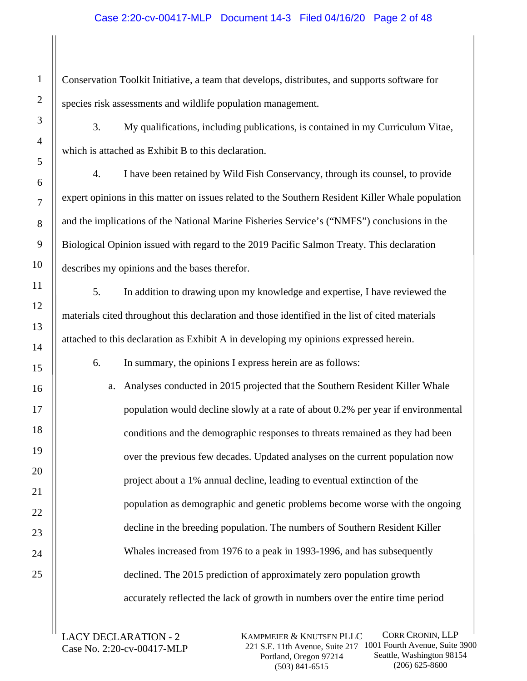# Case 2:20-cv-00417-MLP Document 14-3 Filed 04/16/20 Page 2 of 48

Conservation Toolkit Initiative, a team that develops, distributes, and supports software for species risk assessments and wildlife population management.

3. My qualifications, including publications, is contained in my Curriculum Vitae, which is attached as Exhibit B to this declaration.

4. I have been retained by Wild Fish Conservancy, through its counsel, to provide expert opinions in this matter on issues related to the Southern Resident Killer Whale population and the implications of the National Marine Fisheries Service's ("NMFS") conclusions in the Biological Opinion issued with regard to the 2019 Pacific Salmon Treaty. This declaration describes my opinions and the bases therefor.

5. In addition to drawing upon my knowledge and expertise, I have reviewed the materials cited throughout this declaration and those identified in the list of cited materials attached to this declaration as Exhibit A in developing my opinions expressed herein.

6. In summary, the opinions I express herein are as follows:

a. Analyses conducted in 2015 projected that the Southern Resident Killer Whale population would decline slowly at a rate of about 0.2% per year if environmental conditions and the demographic responses to threats remained as they had been over the previous few decades. Updated analyses on the current population now project about a 1% annual decline, leading to eventual extinction of the population as demographic and genetic problems become worse with the ongoing decline in the breeding population. The numbers of Southern Resident Killer Whales increased from 1976 to a peak in 1993-1996, and has subsequently declined. The 2015 prediction of approximately zero population growth accurately reflected the lack of growth in numbers over the entire time period

LACY DECLARATION - 2 Case No. 2:20-cv-00417-MLP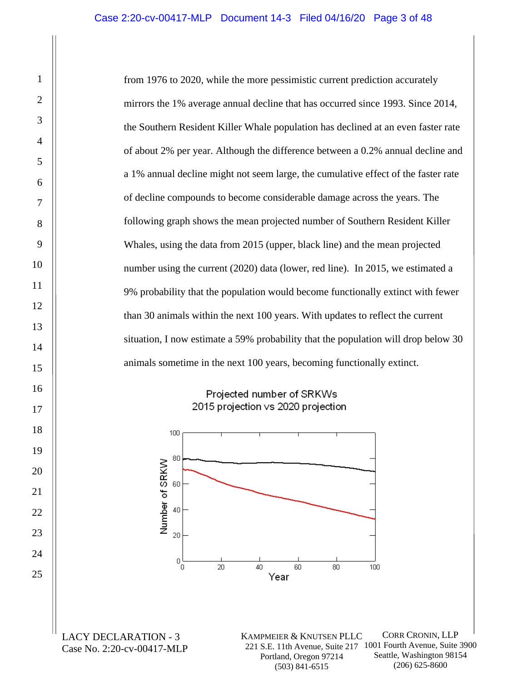from 1976 to 2020, while the more pessimistic current prediction accurately mirrors the 1% average annual decline that has occurred since 1993. Since 2014, the Southern Resident Killer Whale population has declined at an even faster rate of about 2% per year. Although the difference between a 0.2% annual decline and a 1% annual decline might not seem large, the cumulative effect of the faster rate of decline compounds to become considerable damage across the years. The following graph shows the mean projected number of Southern Resident Killer Whales, using the data from 2015 (upper, black line) and the mean projected number using the current (2020) data (lower, red line). In 2015, we estimated a 9% probability that the population would become functionally extinct with fewer than 30 animals within the next 100 years. With updates to reflect the current situation, I now estimate a 59% probability that the population will drop below 30 animals sometime in the next 100 years, becoming functionally extinct.

# Projected number of SRKWs 2015 projection vs 2020 projection



LACY DECLARATION - 3 Case No. 2:20-cv-00417-MLP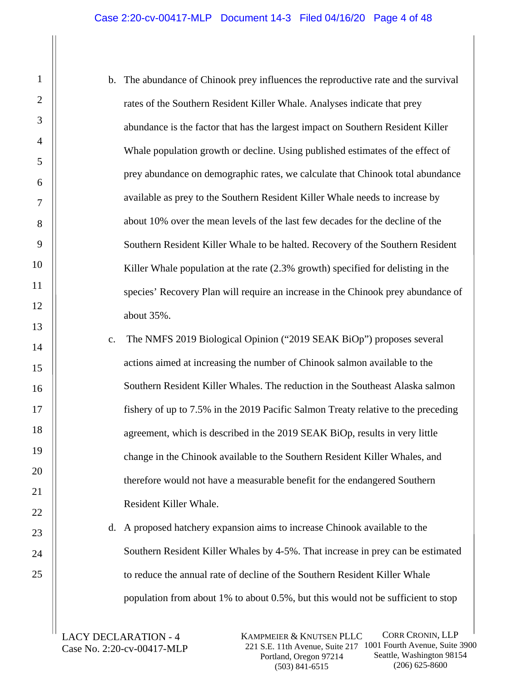- b. The abundance of Chinook prey influences the reproductive rate and the survival rates of the Southern Resident Killer Whale. Analyses indicate that prey abundance is the factor that has the largest impact on Southern Resident Killer Whale population growth or decline. Using published estimates of the effect of prey abundance on demographic rates, we calculate that Chinook total abundance available as prey to the Southern Resident Killer Whale needs to increase by about 10% over the mean levels of the last few decades for the decline of the Southern Resident Killer Whale to be halted. Recovery of the Southern Resident Killer Whale population at the rate  $(2.3\%$  growth) specified for delisting in the species' Recovery Plan will require an increase in the Chinook prey abundance of about 35%.
- c. The NMFS 2019 Biological Opinion ("2019 SEAK BiOp") proposes several actions aimed at increasing the number of Chinook salmon available to the Southern Resident Killer Whales. The reduction in the Southeast Alaska salmon fishery of up to 7.5% in the 2019 Pacific Salmon Treaty relative to the preceding agreement, which is described in the 2019 SEAK BiOp, results in very little change in the Chinook available to the Southern Resident Killer Whales, and therefore would not have a measurable benefit for the endangered Southern Resident Killer Whale.

d. A proposed hatchery expansion aims to increase Chinook available to the Southern Resident Killer Whales by 4-5%. That increase in prey can be estimated to reduce the annual rate of decline of the Southern Resident Killer Whale population from about 1% to about 0.5%, but this would not be sufficient to stop

LACY DECLARATION - 4 Case No. 2:20-cv-00417-MLP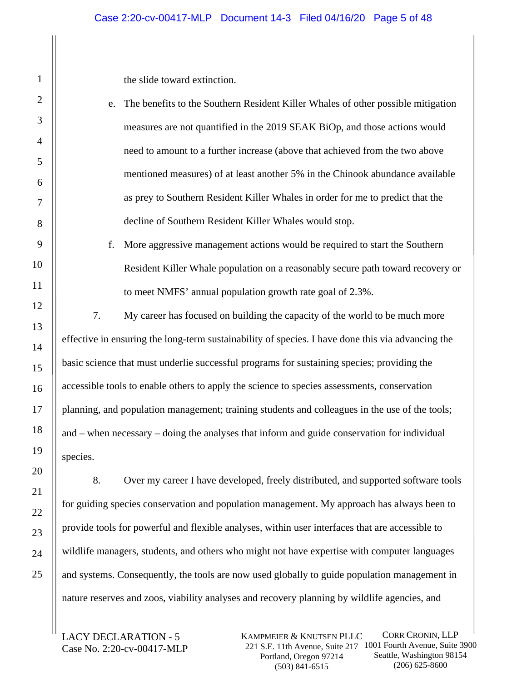the slide toward extinction.

- e. The benefits to the Southern Resident Killer Whales of other possible mitigation measures are not quantified in the 2019 SEAK BiOp, and those actions would need to amount to a further increase (above that achieved from the two above mentioned measures) of at least another 5% in the Chinook abundance available as prey to Southern Resident Killer Whales in order for me to predict that the decline of Southern Resident Killer Whales would stop.
- f. More aggressive management actions would be required to start the Southern Resident Killer Whale population on a reasonably secure path toward recovery or to meet NMFS' annual population growth rate goal of 2.3%.

7. My career has focused on building the capacity of the world to be much more effective in ensuring the long-term sustainability of species. I have done this via advancing the basic science that must underlie successful programs for sustaining species; providing the accessible tools to enable others to apply the science to species assessments, conservation planning, and population management; training students and colleagues in the use of the tools; and – when necessary – doing the analyses that inform and guide conservation for individual species.

8. Over my career I have developed, freely distributed, and supported software tools for guiding species conservation and population management. My approach has always been to provide tools for powerful and flexible analyses, within user interfaces that are accessible to wildlife managers, students, and others who might not have expertise with computer languages and systems. Consequently, the tools are now used globally to guide population management in nature reserves and zoos, viability analyses and recovery planning by wildlife agencies, and

LACY DECLARATION - 5 Case No. 2:20-cv-00417-MLP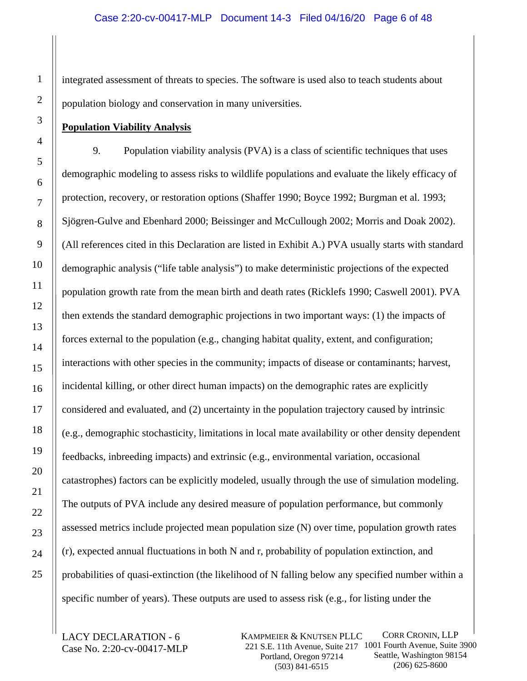integrated assessment of threats to species. The software is used also to teach students about population biology and conservation in many universities.

# **Population Viability Analysis**

9. Population viability analysis (PVA) is a class of scientific techniques that uses demographic modeling to assess risks to wildlife populations and evaluate the likely efficacy of protection, recovery, or restoration options (Shaffer 1990; Boyce 1992; Burgman et al. 1993; Sjögren-Gulve and Ebenhard 2000; Beissinger and McCullough 2002; Morris and Doak 2002). (All references cited in this Declaration are listed in Exhibit A.) PVA usually starts with standard demographic analysis ("life table analysis") to make deterministic projections of the expected population growth rate from the mean birth and death rates (Ricklefs 1990; Caswell 2001). PVA then extends the standard demographic projections in two important ways: (1) the impacts of forces external to the population (e.g., changing habitat quality, extent, and configuration; interactions with other species in the community; impacts of disease or contaminants; harvest, incidental killing, or other direct human impacts) on the demographic rates are explicitly considered and evaluated, and (2) uncertainty in the population trajectory caused by intrinsic (e.g., demographic stochasticity, limitations in local mate availability or other density dependent feedbacks, inbreeding impacts) and extrinsic (e.g., environmental variation, occasional catastrophes) factors can be explicitly modeled, usually through the use of simulation modeling. The outputs of PVA include any desired measure of population performance, but commonly assessed metrics include projected mean population size (N) over time, population growth rates (r), expected annual fluctuations in both N and r, probability of population extinction, and probabilities of quasi-extinction (the likelihood of N falling below any specified number within a specific number of years). These outputs are used to assess risk (e.g., for listing under the

LACY DECLARATION - 6 Case No. 2:20-cv-00417-MLP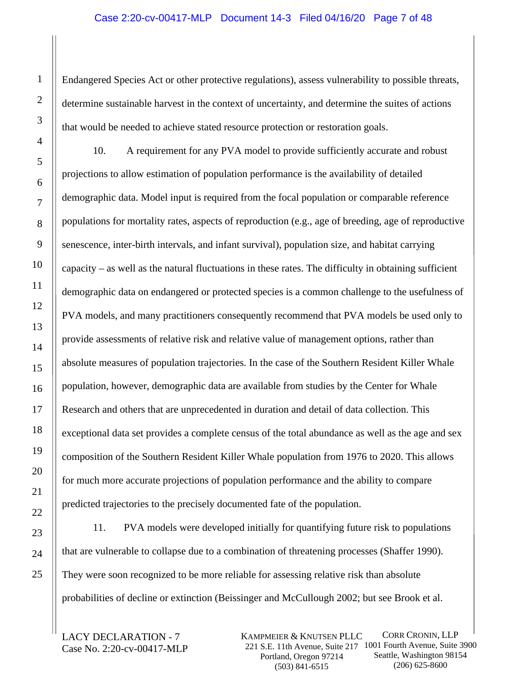#### Case 2:20-cv-00417-MLP Document 14-3 Filed 04/16/20 Page 7 of 48

Endangered Species Act or other protective regulations), assess vulnerability to possible threats, determine sustainable harvest in the context of uncertainty, and determine the suites of actions that would be needed to achieve stated resource protection or restoration goals.

10. A requirement for any PVA model to provide sufficiently accurate and robust projections to allow estimation of population performance is the availability of detailed demographic data. Model input is required from the focal population or comparable reference populations for mortality rates, aspects of reproduction (e.g., age of breeding, age of reproductive senescence, inter-birth intervals, and infant survival), population size, and habitat carrying capacity – as well as the natural fluctuations in these rates. The difficulty in obtaining sufficient demographic data on endangered or protected species is a common challenge to the usefulness of PVA models, and many practitioners consequently recommend that PVA models be used only to provide assessments of relative risk and relative value of management options, rather than absolute measures of population trajectories. In the case of the Southern Resident Killer Whale population, however, demographic data are available from studies by the Center for Whale Research and others that are unprecedented in duration and detail of data collection. This exceptional data set provides a complete census of the total abundance as well as the age and sex composition of the Southern Resident Killer Whale population from 1976 to 2020. This allows for much more accurate projections of population performance and the ability to compare predicted trajectories to the precisely documented fate of the population.

11. PVA models were developed initially for quantifying future risk to populations that are vulnerable to collapse due to a combination of threatening processes (Shaffer 1990). They were soon recognized to be more reliable for assessing relative risk than absolute probabilities of decline or extinction (Beissinger and McCullough 2002; but see Brook et al.

LACY DECLARATION - 7 Case No. 2:20-cv-00417-MLP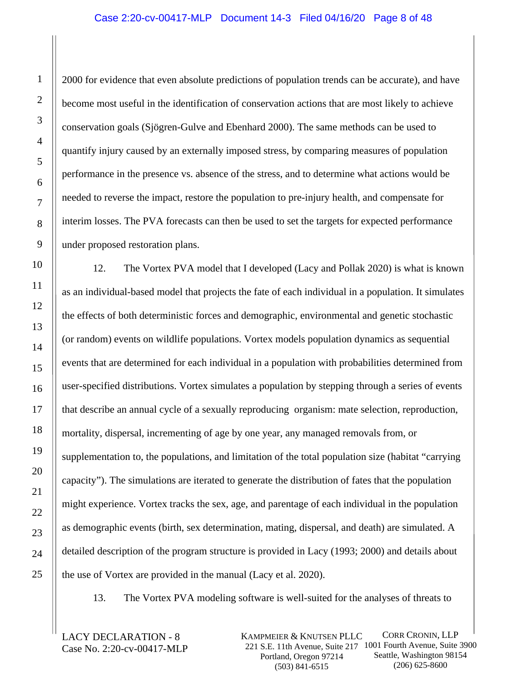# Case 2:20-cv-00417-MLP Document 14-3 Filed 04/16/20 Page 8 of 48

2000 for evidence that even absolute predictions of population trends can be accurate), and have become most useful in the identification of conservation actions that are most likely to achieve conservation goals (Sjögren-Gulve and Ebenhard 2000). The same methods can be used to quantify injury caused by an externally imposed stress, by comparing measures of population performance in the presence vs. absence of the stress, and to determine what actions would be needed to reverse the impact, restore the population to pre-injury health, and compensate for interim losses. The PVA forecasts can then be used to set the targets for expected performance under proposed restoration plans.

12. The Vortex PVA model that I developed (Lacy and Pollak 2020) is what is known as an individual-based model that projects the fate of each individual in a population. It simulates the effects of both deterministic forces and demographic, environmental and genetic stochastic (or random) events on wildlife populations. Vortex models population dynamics as sequential events that are determined for each individual in a population with probabilities determined from user-specified distributions. Vortex simulates a population by stepping through a series of events that describe an annual cycle of a sexually reproducing organism: mate selection, reproduction, mortality, dispersal, incrementing of age by one year, any managed removals from, or supplementation to, the populations, and limitation of the total population size (habitat "carrying capacity"). The simulations are iterated to generate the distribution of fates that the population might experience. Vortex tracks the sex, age, and parentage of each individual in the population as demographic events (birth, sex determination, mating, dispersal, and death) are simulated. A detailed description of the program structure is provided in Lacy (1993; 2000) and details about the use of Vortex are provided in the manual (Lacy et al. 2020).

13. The Vortex PVA modeling software is well-suited for the analyses of threats to

LACY DECLARATION - 8 Case No. 2:20-cv-00417-MLP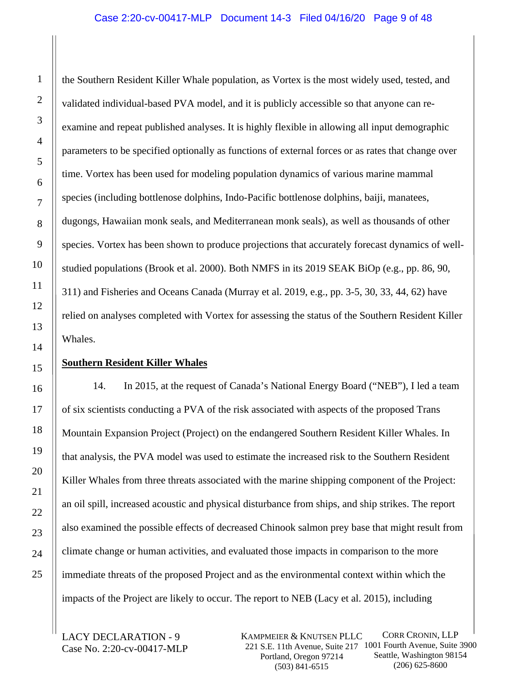### Case 2:20-cv-00417-MLP Document 14-3 Filed 04/16/20 Page 9 of 48

the Southern Resident Killer Whale population, as Vortex is the most widely used, tested, and validated individual-based PVA model, and it is publicly accessible so that anyone can reexamine and repeat published analyses. It is highly flexible in allowing all input demographic parameters to be specified optionally as functions of external forces or as rates that change over time. Vortex has been used for modeling population dynamics of various marine mammal species (including bottlenose dolphins, Indo-Pacific bottlenose dolphins, baiji, manatees, dugongs, Hawaiian monk seals, and Mediterranean monk seals), as well as thousands of other species. Vortex has been shown to produce projections that accurately forecast dynamics of wellstudied populations (Brook et al. 2000). Both NMFS in its 2019 SEAK BiOp (e.g., pp. 86, 90, 311) and Fisheries and Oceans Canada (Murray et al. 2019, e.g., pp. 3-5, 30, 33, 44, 62) have relied on analyses completed with Vortex for assessing the status of the Southern Resident Killer Whales.

#### **Southern Resident Killer Whales**

14. In 2015, at the request of Canada's National Energy Board ("NEB"), I led a team of six scientists conducting a PVA of the risk associated with aspects of the proposed Trans Mountain Expansion Project (Project) on the endangered Southern Resident Killer Whales. In that analysis, the PVA model was used to estimate the increased risk to the Southern Resident Killer Whales from three threats associated with the marine shipping component of the Project: an oil spill, increased acoustic and physical disturbance from ships, and ship strikes. The report also examined the possible effects of decreased Chinook salmon prey base that might result from climate change or human activities, and evaluated those impacts in comparison to the more immediate threats of the proposed Project and as the environmental context within which the impacts of the Project are likely to occur. The report to NEB (Lacy et al. 2015), including

LACY DECLARATION - 9 Case No. 2:20-cv-00417-MLP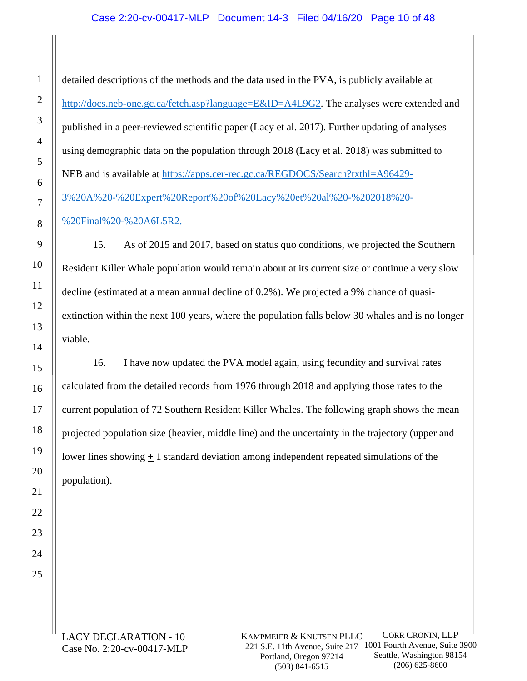# Case 2:20-cv-00417-MLP Document 14-3 Filed 04/16/20 Page 10 of 48

detailed descriptions of the methods and the data used in the PVA, is publicly available at http://docs.neb-one.gc.ca/fetch.asp?language=E&ID=A4L9G2. The analyses were extended and published in a peer-reviewed scientific paper (Lacy et al. 2017). Further updating of analyses using demographic data on the population through 2018 (Lacy et al. 2018) was submitted to NEB and is available at https://apps.cer-rec.gc.ca/REGDOCS/Search?txthl=A96429- 3%20A%20-%20Expert%20Report%20of%20Lacy%20et%20al%20-%202018%20- %20Final%20-%20A6L5R2.

15. As of 2015 and 2017, based on status quo conditions, we projected the Southern Resident Killer Whale population would remain about at its current size or continue a very slow decline (estimated at a mean annual decline of 0.2%). We projected a 9% chance of quasiextinction within the next 100 years, where the population falls below 30 whales and is no longer viable.

16. I have now updated the PVA model again, using fecundity and survival rates calculated from the detailed records from 1976 through 2018 and applying those rates to the current population of 72 Southern Resident Killer Whales. The following graph shows the mean projected population size (heavier, middle line) and the uncertainty in the trajectory (upper and lower lines showing  $\pm 1$  standard deviation among independent repeated simulations of the population).

LACY DECLARATION - 10 Case No. 2:20-cv-00417-MLP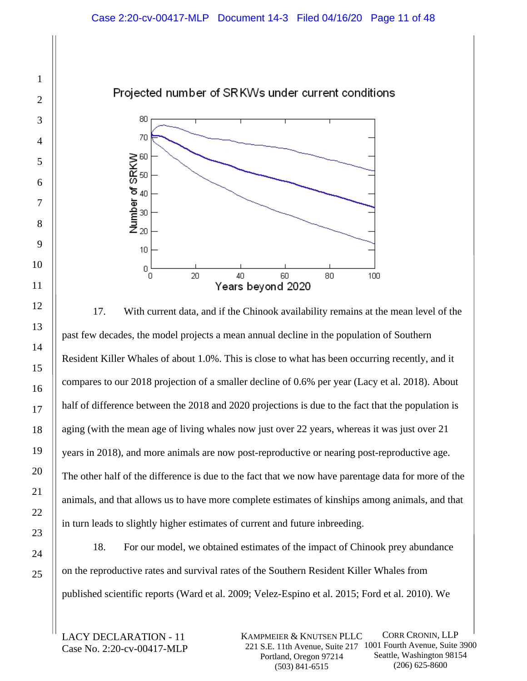# Projected number of SRKWs under current conditions



17. With current data, and if the Chinook availability remains at the mean level of the past few decades, the model projects a mean annual decline in the population of Southern Resident Killer Whales of about 1.0%. This is close to what has been occurring recently, and it compares to our 2018 projection of a smaller decline of 0.6% per year (Lacy et al. 2018). About half of difference between the 2018 and 2020 projections is due to the fact that the population is aging (with the mean age of living whales now just over 22 years, whereas it was just over 21 years in 2018), and more animals are now post-reproductive or nearing post-reproductive age. The other half of the difference is due to the fact that we now have parentage data for more of the animals, and that allows us to have more complete estimates of kinships among animals, and that in turn leads to slightly higher estimates of current and future inbreeding.

18. For our model, we obtained estimates of the impact of Chinook prey abundance on the reproductive rates and survival rates of the Southern Resident Killer Whales from published scientific reports (Ward et al. 2009; Velez-Espino et al. 2015; Ford et al. 2010). We

LACY DECLARATION - 11 Case No. 2:20-cv-00417-MLP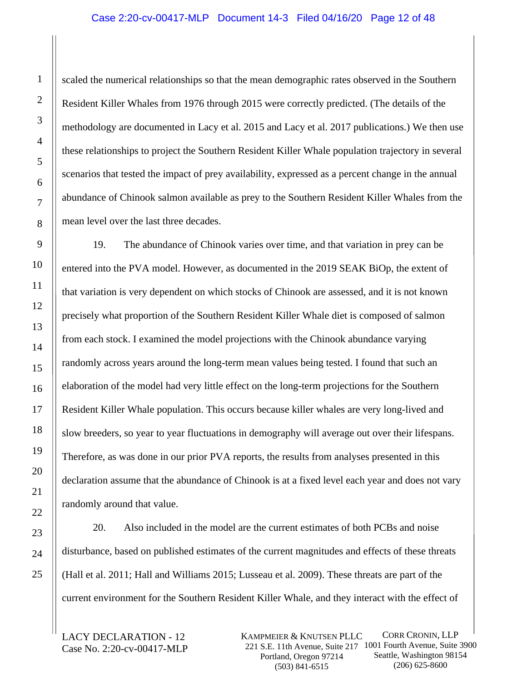# Case 2:20-cv-00417-MLP Document 14-3 Filed 04/16/20 Page 12 of 48

scaled the numerical relationships so that the mean demographic rates observed in the Southern Resident Killer Whales from 1976 through 2015 were correctly predicted. (The details of the methodology are documented in Lacy et al. 2015 and Lacy et al. 2017 publications.) We then use these relationships to project the Southern Resident Killer Whale population trajectory in several scenarios that tested the impact of prey availability, expressed as a percent change in the annual abundance of Chinook salmon available as prey to the Southern Resident Killer Whales from the mean level over the last three decades.

19. The abundance of Chinook varies over time, and that variation in prey can be entered into the PVA model. However, as documented in the 2019 SEAK BiOp, the extent of that variation is very dependent on which stocks of Chinook are assessed, and it is not known precisely what proportion of the Southern Resident Killer Whale diet is composed of salmon from each stock. I examined the model projections with the Chinook abundance varying randomly across years around the long-term mean values being tested. I found that such an elaboration of the model had very little effect on the long-term projections for the Southern Resident Killer Whale population. This occurs because killer whales are very long-lived and slow breeders, so year to year fluctuations in demography will average out over their lifespans. Therefore, as was done in our prior PVA reports, the results from analyses presented in this declaration assume that the abundance of Chinook is at a fixed level each year and does not vary randomly around that value.

20. Also included in the model are the current estimates of both PCBs and noise disturbance, based on published estimates of the current magnitudes and effects of these threats (Hall et al. 2011; Hall and Williams 2015; Lusseau et al. 2009). These threats are part of the current environment for the Southern Resident Killer Whale, and they interact with the effect of

LACY DECLARATION - 12 Case No. 2:20-cv-00417-MLP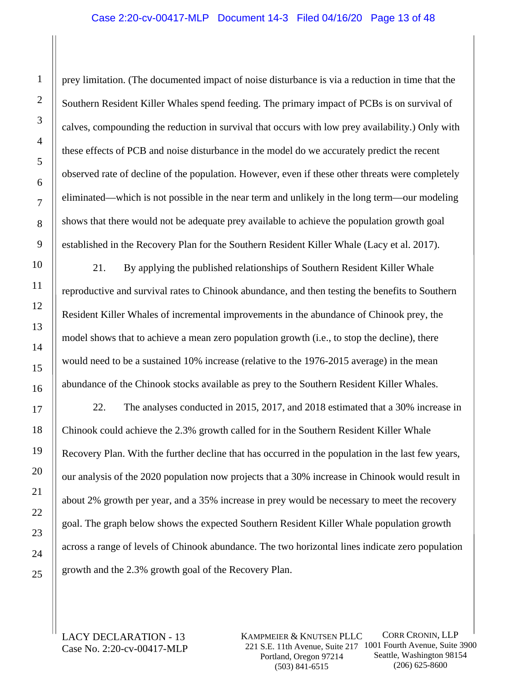# Case 2:20-cv-00417-MLP Document 14-3 Filed 04/16/20 Page 13 of 48

prey limitation. (The documented impact of noise disturbance is via a reduction in time that the Southern Resident Killer Whales spend feeding. The primary impact of PCBs is on survival of calves, compounding the reduction in survival that occurs with low prey availability.) Only with these effects of PCB and noise disturbance in the model do we accurately predict the recent observed rate of decline of the population. However, even if these other threats were completely eliminated—which is not possible in the near term and unlikely in the long term—our modeling shows that there would not be adequate prey available to achieve the population growth goal established in the Recovery Plan for the Southern Resident Killer Whale (Lacy et al. 2017).

21. By applying the published relationships of Southern Resident Killer Whale reproductive and survival rates to Chinook abundance, and then testing the benefits to Southern Resident Killer Whales of incremental improvements in the abundance of Chinook prey, the model shows that to achieve a mean zero population growth (i.e., to stop the decline), there would need to be a sustained 10% increase (relative to the 1976-2015 average) in the mean abundance of the Chinook stocks available as prey to the Southern Resident Killer Whales.

22. The analyses conducted in 2015, 2017, and 2018 estimated that a 30% increase in Chinook could achieve the 2.3% growth called for in the Southern Resident Killer Whale Recovery Plan. With the further decline that has occurred in the population in the last few years, our analysis of the 2020 population now projects that a 30% increase in Chinook would result in about 2% growth per year, and a 35% increase in prey would be necessary to meet the recovery goal. The graph below shows the expected Southern Resident Killer Whale population growth across a range of levels of Chinook abundance. The two horizontal lines indicate zero population growth and the 2.3% growth goal of the Recovery Plan.

LACY DECLARATION - 13 Case No. 2:20-cv-00417-MLP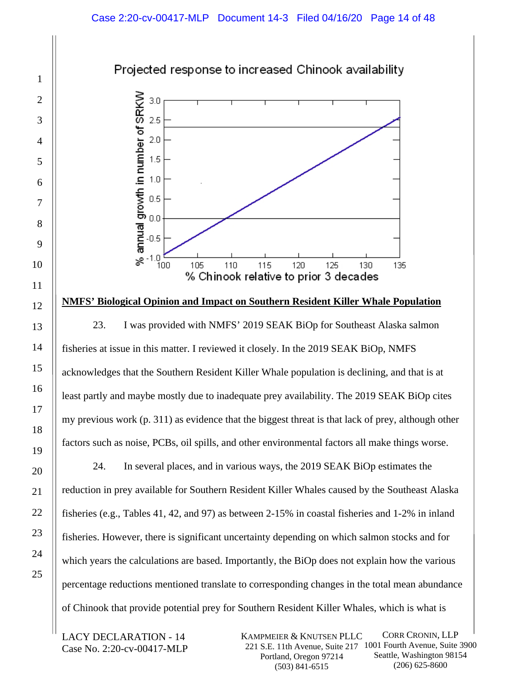



# **NMFS' Biological Opinion and Impact on Southern Resident Killer Whale Population**

23. I was provided with NMFS' 2019 SEAK BiOp for Southeast Alaska salmon fisheries at issue in this matter. I reviewed it closely. In the 2019 SEAK BiOp, NMFS acknowledges that the Southern Resident Killer Whale population is declining, and that is at least partly and maybe mostly due to inadequate prey availability. The 2019 SEAK BiOp cites my previous work (p. 311) as evidence that the biggest threat is that lack of prey, although other factors such as noise, PCBs, oil spills, and other environmental factors all make things worse.

24. In several places, and in various ways, the 2019 SEAK BiOp estimates the reduction in prey available for Southern Resident Killer Whales caused by the Southeast Alaska fisheries (e.g., Tables 41, 42, and 97) as between 2-15% in coastal fisheries and 1-2% in inland fisheries. However, there is significant uncertainty depending on which salmon stocks and for which years the calculations are based. Importantly, the BiOp does not explain how the various percentage reductions mentioned translate to corresponding changes in the total mean abundance of Chinook that provide potential prey for Southern Resident Killer Whales, which is what is

LACY DECLARATION - 14 Case No. 2:20-cv-00417-MLP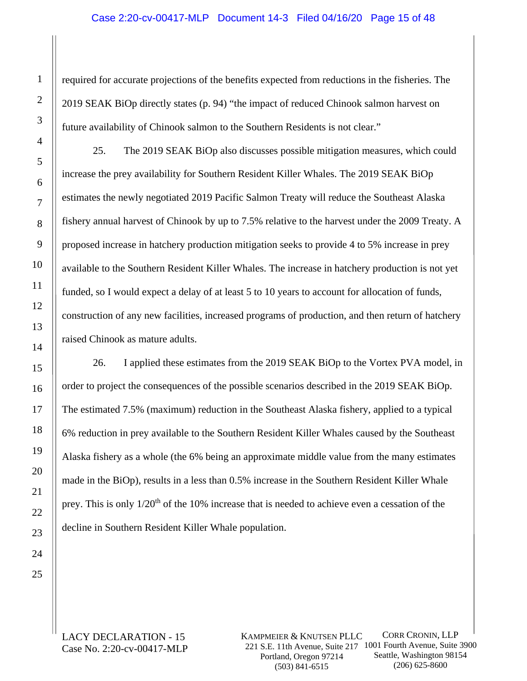### Case 2:20-cv-00417-MLP Document 14-3 Filed 04/16/20 Page 15 of 48

required for accurate projections of the benefits expected from reductions in the fisheries. The 2019 SEAK BiOp directly states (p. 94) "the impact of reduced Chinook salmon harvest on future availability of Chinook salmon to the Southern Residents is not clear."

25. The 2019 SEAK BiOp also discusses possible mitigation measures, which could increase the prey availability for Southern Resident Killer Whales. The 2019 SEAK BiOp estimates the newly negotiated 2019 Pacific Salmon Treaty will reduce the Southeast Alaska fishery annual harvest of Chinook by up to 7.5% relative to the harvest under the 2009 Treaty. A proposed increase in hatchery production mitigation seeks to provide 4 to 5% increase in prey available to the Southern Resident Killer Whales. The increase in hatchery production is not yet funded, so I would expect a delay of at least 5 to 10 years to account for allocation of funds, construction of any new facilities, increased programs of production, and then return of hatchery raised Chinook as mature adults.

26. I applied these estimates from the 2019 SEAK BiOp to the Vortex PVA model, in order to project the consequences of the possible scenarios described in the 2019 SEAK BiOp. The estimated 7.5% (maximum) reduction in the Southeast Alaska fishery, applied to a typical 6% reduction in prey available to the Southern Resident Killer Whales caused by the Southeast Alaska fishery as a whole (the 6% being an approximate middle value from the many estimates made in the BiOp), results in a less than 0.5% increase in the Southern Resident Killer Whale prey. This is only 1/20th of the 10% increase that is needed to achieve even a cessation of the decline in Southern Resident Killer Whale population.

LACY DECLARATION - 15 Case No. 2:20-cv-00417-MLP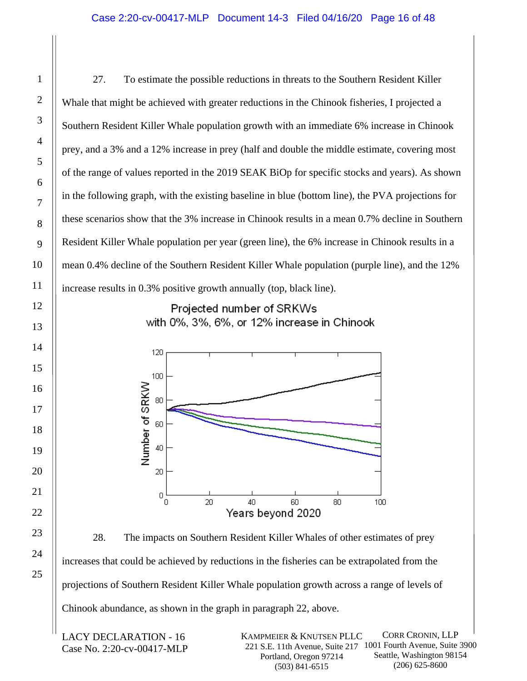27. To estimate the possible reductions in threats to the Southern Resident Killer Whale that might be achieved with greater reductions in the Chinook fisheries, I projected a Southern Resident Killer Whale population growth with an immediate 6% increase in Chinook prey, and a 3% and a 12% increase in prey (half and double the middle estimate, covering most of the range of values reported in the 2019 SEAK BiOp for specific stocks and years). As shown in the following graph, with the existing baseline in blue (bottom line), the PVA projections for these scenarios show that the 3% increase in Chinook results in a mean 0.7% decline in Southern Resident Killer Whale population per year (green line), the 6% increase in Chinook results in a mean 0.4% decline of the Southern Resident Killer Whale population (purple line), and the 12% increase results in 0.3% positive growth annually (top, black line).

Projected number of SRKWs with 0%, 3%, 6%, or 12% increase in Chinook



28. The impacts on Southern Resident Killer Whales of other estimates of prey increases that could be achieved by reductions in the fisheries can be extrapolated from the projections of Southern Resident Killer Whale population growth across a range of levels of Chinook abundance, as shown in the graph in paragraph 22, above.

LACY DECLARATION - 16 Case No. 2:20-cv-00417-MLP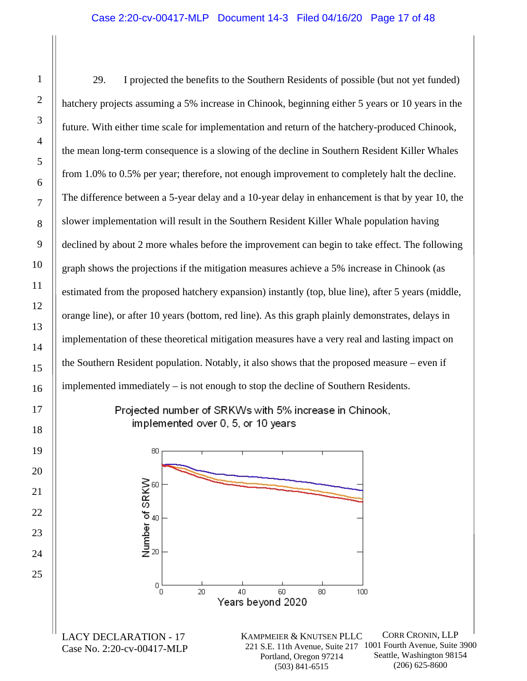1

2

3

4

5

6

7

8

9

10

11

12

13

14

15

16

17

18

19

20

21

22

23

24

25

29. I projected the benefits to the Southern Residents of possible (but not yet funded) hatchery projects assuming a 5% increase in Chinook, beginning either 5 years or 10 years in the future. With either time scale for implementation and return of the hatchery-produced Chinook, the mean long-term consequence is a slowing of the decline in Southern Resident Killer Whales from 1.0% to 0.5% per year; therefore, not enough improvement to completely halt the decline. The difference between a 5-year delay and a 10-year delay in enhancement is that by year 10, the slower implementation will result in the Southern Resident Killer Whale population having declined by about 2 more whales before the improvement can begin to take effect. The following graph shows the projections if the mitigation measures achieve a 5% increase in Chinook (as estimated from the proposed hatchery expansion) instantly (top, blue line), after 5 years (middle, orange line), or after 10 years (bottom, red line). As this graph plainly demonstrates, delays in implementation of these theoretical mitigation measures have a very real and lasting impact on the Southern Resident population. Notably, it also shows that the proposed measure – even if implemented immediately – is not enough to stop the decline of Southern Residents.

Projected number of SRKWs with 5% increase in Chinook, implemented over 0, 5, or 10 years

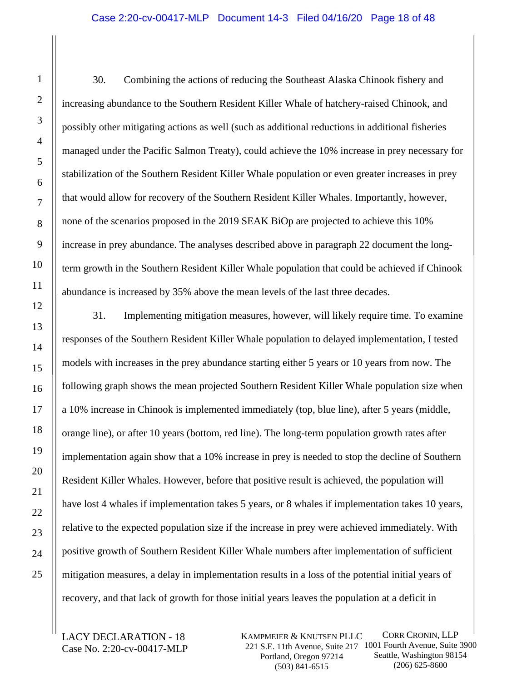30. Combining the actions of reducing the Southeast Alaska Chinook fishery and increasing abundance to the Southern Resident Killer Whale of hatchery-raised Chinook, and possibly other mitigating actions as well (such as additional reductions in additional fisheries managed under the Pacific Salmon Treaty), could achieve the 10% increase in prey necessary for stabilization of the Southern Resident Killer Whale population or even greater increases in prey that would allow for recovery of the Southern Resident Killer Whales. Importantly, however, none of the scenarios proposed in the 2019 SEAK BiOp are projected to achieve this 10% increase in prey abundance. The analyses described above in paragraph 22 document the longterm growth in the Southern Resident Killer Whale population that could be achieved if Chinook abundance is increased by 35% above the mean levels of the last three decades.

31. Implementing mitigation measures, however, will likely require time. To examine responses of the Southern Resident Killer Whale population to delayed implementation, I tested models with increases in the prey abundance starting either 5 years or 10 years from now. The following graph shows the mean projected Southern Resident Killer Whale population size when a 10% increase in Chinook is implemented immediately (top, blue line), after 5 years (middle, orange line), or after 10 years (bottom, red line). The long-term population growth rates after implementation again show that a 10% increase in prey is needed to stop the decline of Southern Resident Killer Whales. However, before that positive result is achieved, the population will have lost 4 whales if implementation takes 5 years, or 8 whales if implementation takes 10 years, relative to the expected population size if the increase in prey were achieved immediately. With positive growth of Southern Resident Killer Whale numbers after implementation of sufficient mitigation measures, a delay in implementation results in a loss of the potential initial years of recovery, and that lack of growth for those initial years leaves the population at a deficit in

LACY DECLARATION - 18 Case No. 2:20-cv-00417-MLP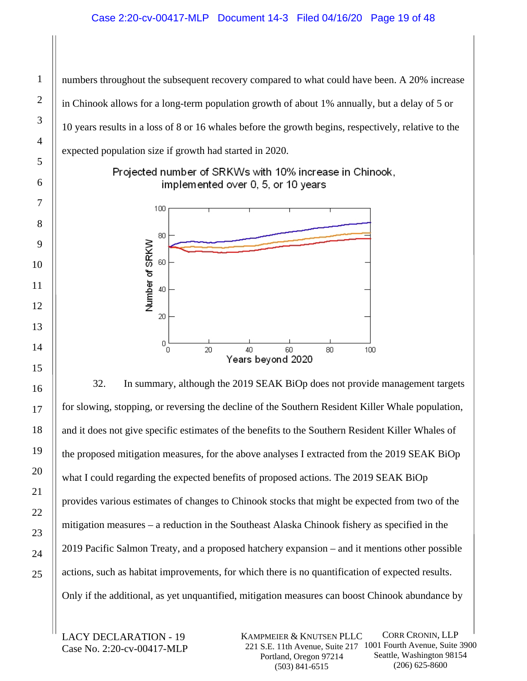# Case 2:20-cv-00417-MLP Document 14-3 Filed 04/16/20 Page 19 of 48

numbers throughout the subsequent recovery compared to what could have been. A 20% increase in Chinook allows for a long-term population growth of about 1% annually, but a delay of 5 or 10 years results in a loss of 8 or 16 whales before the growth begins, respectively, relative to the expected population size if growth had started in 2020.

> Projected number of SRKWs with 10% increase in Chinook, implemented over 0, 5, or 10 years



32. In summary, although the 2019 SEAK BiOp does not provide management targets for slowing, stopping, or reversing the decline of the Southern Resident Killer Whale population, and it does not give specific estimates of the benefits to the Southern Resident Killer Whales of the proposed mitigation measures, for the above analyses I extracted from the 2019 SEAK BiOp what I could regarding the expected benefits of proposed actions. The 2019 SEAK BiOp provides various estimates of changes to Chinook stocks that might be expected from two of the mitigation measures – a reduction in the Southeast Alaska Chinook fishery as specified in the 2019 Pacific Salmon Treaty, and a proposed hatchery expansion – and it mentions other possible actions, such as habitat improvements, for which there is no quantification of expected results. Only if the additional, as yet unquantified, mitigation measures can boost Chinook abundance by

LACY DECLARATION - 19 Case No. 2:20-cv-00417-MLP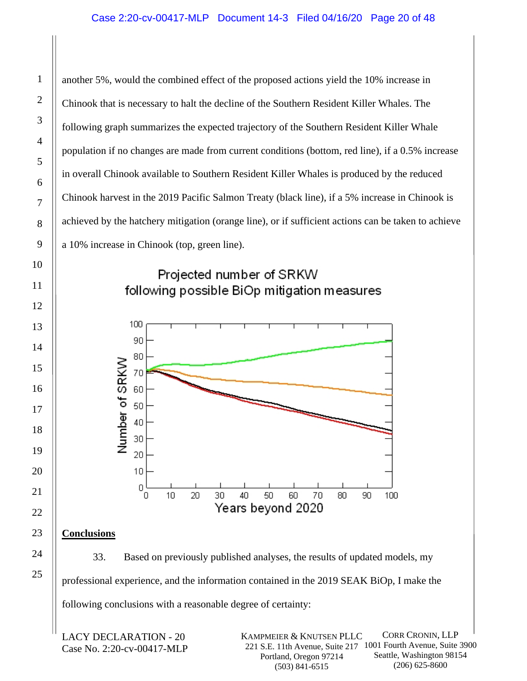another 5%, would the combined effect of the proposed actions yield the 10% increase in Chinook that is necessary to halt the decline of the Southern Resident Killer Whales. The following graph summarizes the expected trajectory of the Southern Resident Killer Whale population if no changes are made from current conditions (bottom, red line), if a 0.5% increase in overall Chinook available to Southern Resident Killer Whales is produced by the reduced Chinook harvest in the 2019 Pacific Salmon Treaty (black line), if a 5% increase in Chinook is achieved by the hatchery mitigation (orange line), or if sufficient actions can be taken to achieve a 10% increase in Chinook (top, green line).

# Projected number of SRKW following possible BiOp mitigation measures



# **Conclusions**

33. Based on previously published analyses, the results of updated models, my professional experience, and the information contained in the 2019 SEAK BiOp, I make the following conclusions with a reasonable degree of certainty:

LACY DECLARATION - 20 Case No. 2:20-cv-00417-MLP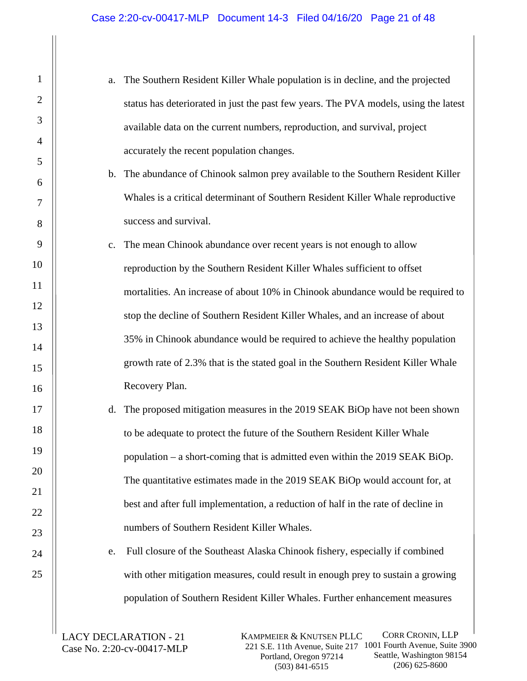| a. The Southern Resident Killer Whale population is in decline, and the projected    |
|--------------------------------------------------------------------------------------|
| status has deteriorated in just the past few years. The PVA models, using the latest |
| available data on the current numbers, reproduction, and survival, project           |
| accurately the recent population changes.                                            |

- b. The abundance of Chinook salmon prey available to the Southern Resident Killer Whales is a critical determinant of Southern Resident Killer Whale reproductive success and survival.
- c. The mean Chinook abundance over recent years is not enough to allow reproduction by the Southern Resident Killer Whales sufficient to offset mortalities. An increase of about 10% in Chinook abundance would be required to stop the decline of Southern Resident Killer Whales, and an increase of about 35% in Chinook abundance would be required to achieve the healthy population growth rate of 2.3% that is the stated goal in the Southern Resident Killer Whale Recovery Plan.
- d. The proposed mitigation measures in the 2019 SEAK BiOp have not been shown to be adequate to protect the future of the Southern Resident Killer Whale population – a short-coming that is admitted even within the 2019 SEAK BiOp. The quantitative estimates made in the 2019 SEAK BiOp would account for, at best and after full implementation, a reduction of half in the rate of decline in numbers of Southern Resident Killer Whales.

e. Full closure of the Southeast Alaska Chinook fishery, especially if combined with other mitigation measures, could result in enough prey to sustain a growing population of Southern Resident Killer Whales. Further enhancement measures

LACY DECLARATION - 21 Case No. 2:20-cv-00417-MLP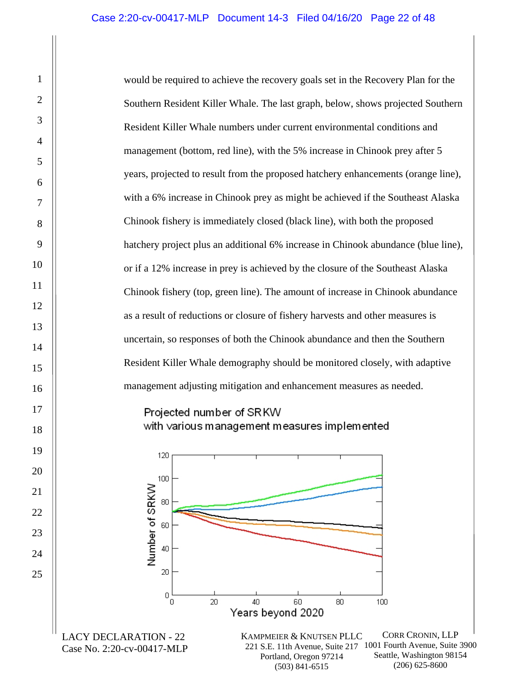1

2

3

4

5

6

7

8

9

10

11

12

13

14

15

16

17

18

19

20

21

22

23

24

25

would be required to achieve the recovery goals set in the Recovery Plan for the Southern Resident Killer Whale. The last graph, below, shows projected Southern Resident Killer Whale numbers under current environmental conditions and management (bottom, red line), with the 5% increase in Chinook prey after 5 years, projected to result from the proposed hatchery enhancements (orange line), with a 6% increase in Chinook prey as might be achieved if the Southeast Alaska Chinook fishery is immediately closed (black line), with both the proposed hatchery project plus an additional 6% increase in Chinook abundance (blue line), or if a 12% increase in prey is achieved by the closure of the Southeast Alaska Chinook fishery (top, green line). The amount of increase in Chinook abundance as a result of reductions or closure of fishery harvests and other measures is uncertain, so responses of both the Chinook abundance and then the Southern Resident Killer Whale demography should be monitored closely, with adaptive management adjusting mitigation and enhancement measures as needed.

# Projected number of SRKW with various management measures implemented

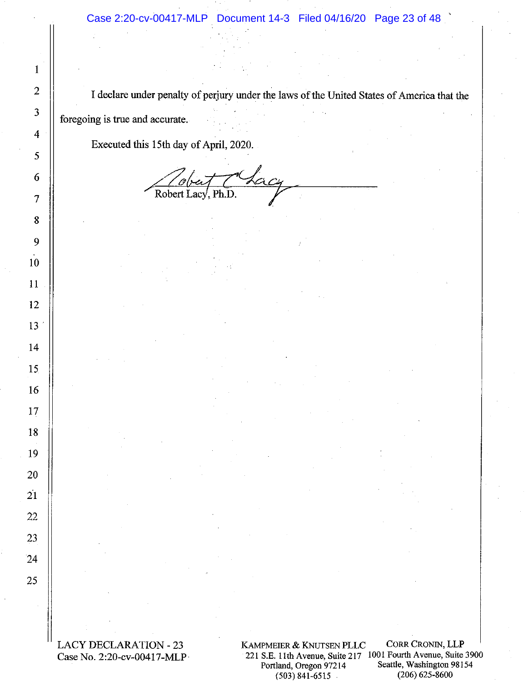I declare under penalty of perjury under the laws of the United States of America that the foregoing is true and accurate.

Executed this 15th day of April, 2020.

 $\mathbf{1}$ 

 $\overline{2}$ 

3

4

5

6

 $\overline{7}$ 

8

9

10

11

12

 $13<sup>7</sup>$ 

14

15

16

17

18

19

20

21

22

23

 $24$ 

25

Robert I

**LACY DECLARATION - 23** Case No. 2:20-cv-00417-MLP

KAMPMEIER & KNUTSEN PLLC 221 S.E. 11th Avenue, Suite 217 1001 Fourth Avenue, Suite 3900 Portland, Oregon 97214  $(503)$  841-6515

CORR CRONIN, LLP Seattle, Washington 98154  $(206)$  625-8600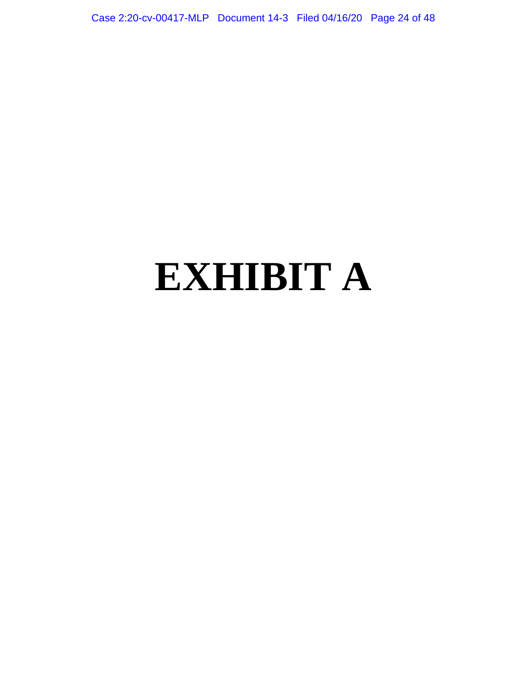Case 2:20-cv-00417-MLP Document 14-3 Filed 04/16/20 Page 24 of 48

# **EXHIBIT A**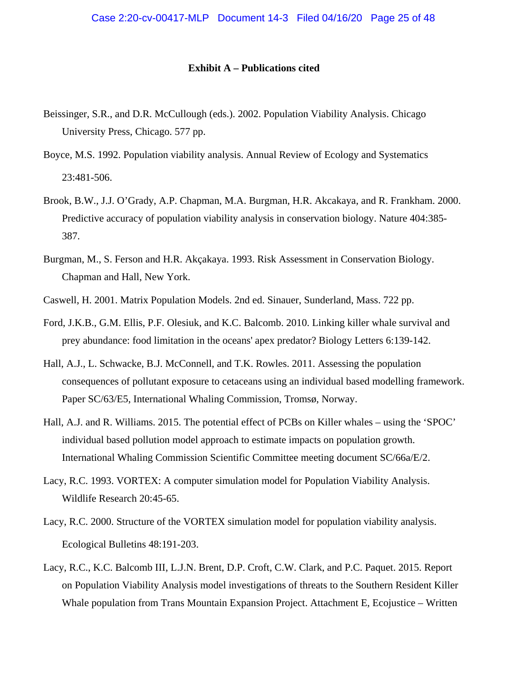#### **Exhibit A – Publications cited**

- Beissinger, S.R., and D.R. McCullough (eds.). 2002. Population Viability Analysis. Chicago University Press, Chicago. 577 pp.
- Boyce, M.S. 1992. Population viability analysis. Annual Review of Ecology and Systematics 23:481-506.
- Brook, B.W., J.J. O'Grady, A.P. Chapman, M.A. Burgman, H.R. Akcakaya, and R. Frankham. 2000. Predictive accuracy of population viability analysis in conservation biology. Nature 404:385- 387.
- Burgman, M., S. Ferson and H.R. Akçakaya. 1993. Risk Assessment in Conservation Biology. Chapman and Hall, New York.
- Caswell, H. 2001. Matrix Population Models. 2nd ed. Sinauer, Sunderland, Mass. 722 pp.
- Ford, J.K.B., G.M. Ellis, P.F. Olesiuk, and K.C. Balcomb. 2010. Linking killer whale survival and prey abundance: food limitation in the oceans' apex predator? Biology Letters 6:139-142.
- Hall, A.J., L. Schwacke, B.J. McConnell, and T.K. Rowles. 2011. Assessing the population consequences of pollutant exposure to cetaceans using an individual based modelling framework. Paper SC/63/E5, International Whaling Commission, Tromsø, Norway.
- Hall, A.J. and R. Williams. 2015. The potential effect of PCBs on Killer whales using the 'SPOC' individual based pollution model approach to estimate impacts on population growth. International Whaling Commission Scientific Committee meeting document SC/66a/E/2.
- Lacy, R.C. 1993. VORTEX: A computer simulation model for Population Viability Analysis. Wildlife Research 20:45-65.
- Lacy, R.C. 2000. Structure of the VORTEX simulation model for population viability analysis. Ecological Bulletins 48:191-203.
- Lacy, R.C., K.C. Balcomb III, L.J.N. Brent, D.P. Croft, C.W. Clark, and P.C. Paquet. 2015. Report on Population Viability Analysis model investigations of threats to the Southern Resident Killer Whale population from Trans Mountain Expansion Project. Attachment E, Ecojustice – Written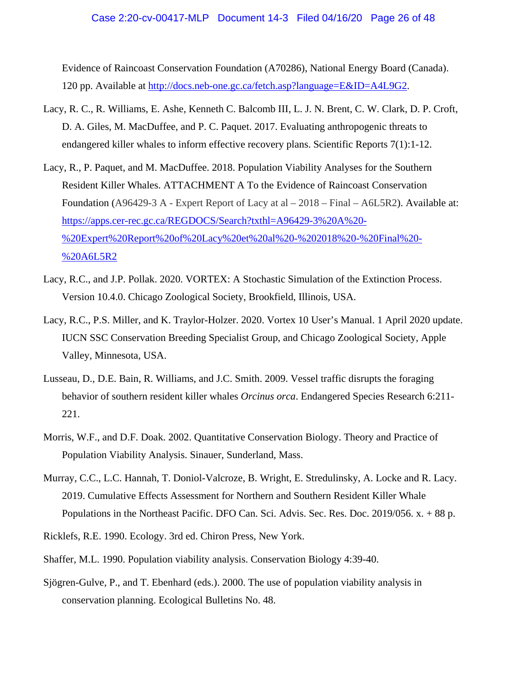Evidence of Raincoast Conservation Foundation (A70286), National Energy Board (Canada). 120 pp. Available at [http://docs.neb-one.gc.ca/fetch.asp?language=E&ID=A4L9G2.](http://docs.neb-one.gc.ca/fetch.asp?language=E&ID=A4L9G2)

- Lacy, R. C., R. Williams, E. Ashe, Kenneth C. Balcomb III, L. J. N. Brent, C. W. Clark, D. P. Croft, D. A. Giles, M. MacDuffee, and P. C. Paquet. 2017. Evaluating anthropogenic threats to endangered killer whales to inform effective recovery plans. Scientific Reports 7(1):1-12.
- Lacy, R., P. Paquet, and M. MacDuffee. 2018. Population Viability Analyses for the Southern Resident Killer Whales. ATTACHMENT A To the Evidence of Raincoast Conservation Foundation (A96429-3 A - Expert Report of Lacy at al – 2018 – Final – A6L5R2). Available at: [https://apps.cer-rec.gc.ca/REGDOCS/Search?txthl=A96429-3%20A%20-](https://apps.cer-rec.gc.ca/REGDOCS/Search?txthl=A96429-3%20A%20-%20Expert%20Report%20of%20Lacy%20et%20al%20-%202018%20-%20Final%20-%20A6L5R2) [%20Expert%20Report%20of%20Lacy%20et%20al%20-%202018%20-%20Final%20-](https://apps.cer-rec.gc.ca/REGDOCS/Search?txthl=A96429-3%20A%20-%20Expert%20Report%20of%20Lacy%20et%20al%20-%202018%20-%20Final%20-%20A6L5R2) [%20A6L5R2](https://apps.cer-rec.gc.ca/REGDOCS/Search?txthl=A96429-3%20A%20-%20Expert%20Report%20of%20Lacy%20et%20al%20-%202018%20-%20Final%20-%20A6L5R2)
- Lacy, R.C., and J.P. Pollak. 2020. VORTEX: A Stochastic Simulation of the Extinction Process. Version 10.4.0. Chicago Zoological Society, Brookfield, Illinois, USA.
- Lacy, R.C., P.S. Miller, and K. Traylor-Holzer. 2020. Vortex 10 User's Manual. 1 April 2020 update. IUCN SSC Conservation Breeding Specialist Group, and Chicago Zoological Society, Apple Valley, Minnesota, USA.
- Lusseau, D., D.E. Bain, R. Williams, and J.C. Smith. 2009. Vessel traffic disrupts the foraging behavior of southern resident killer whales *Orcinus orca*. Endangered Species Research 6:211- 221.
- Morris, W.F., and D.F. Doak. 2002. Quantitative Conservation Biology. Theory and Practice of Population Viability Analysis. Sinauer, Sunderland, Mass.
- Murray, C.C., L.C. Hannah, T. Doniol-Valcroze, B. Wright, E. Stredulinsky, A. Locke and R. Lacy. 2019. Cumulative Effects Assessment for Northern and Southern Resident Killer Whale Populations in the Northeast Pacific. DFO Can. Sci. Advis. Sec. Res. Doc. 2019/056. x. + 88 p.
- Ricklefs, R.E. 1990. Ecology. 3rd ed. Chiron Press, New York.
- Shaffer, M.L. 1990. Population viability analysis. Conservation Biology 4:39-40.
- Sjögren-Gulve, P., and T. Ebenhard (eds.). 2000. The use of population viability analysis in conservation planning. Ecological Bulletins No. 48.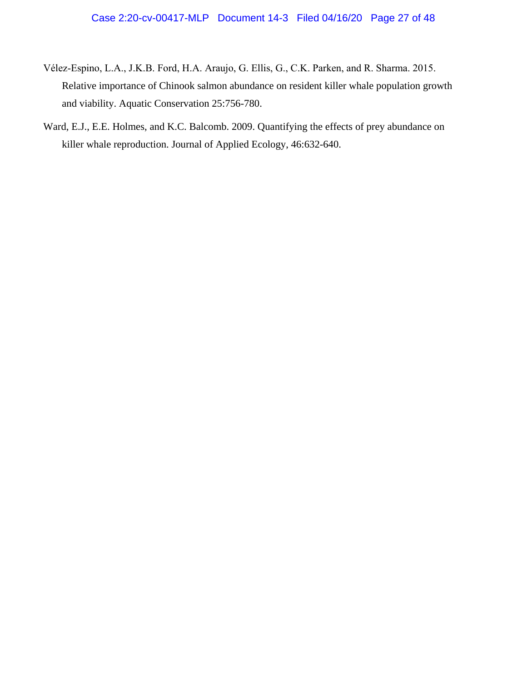- Vélez‐Espino, L.A., J.K.B. Ford, H.A. Araujo, G. Ellis, G., C.K. Parken, and R. Sharma. 2015. Relative importance of Chinook salmon abundance on resident killer whale population growth and viability. Aquatic Conservation 25:756-780.
- Ward, E.J., E.E. Holmes, and K.C. Balcomb. 2009. Quantifying the effects of prey abundance on killer whale reproduction. Journal of Applied Ecology, 46:632-640.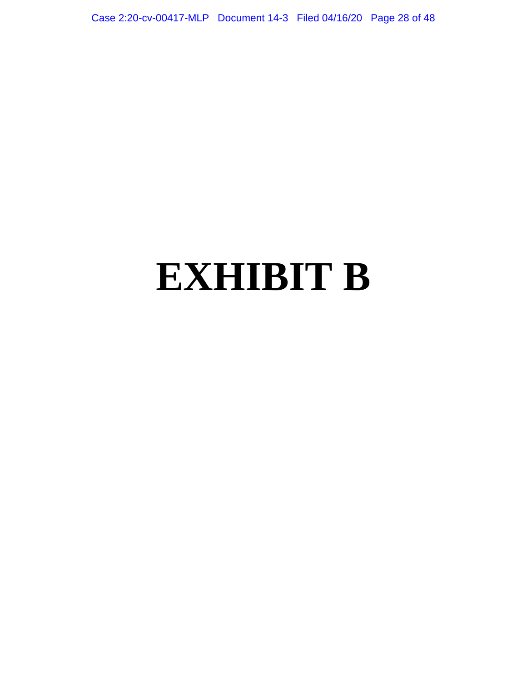Case 2:20-cv-00417-MLP Document 14-3 Filed 04/16/20 Page 28 of 48

# **EXHIBIT B**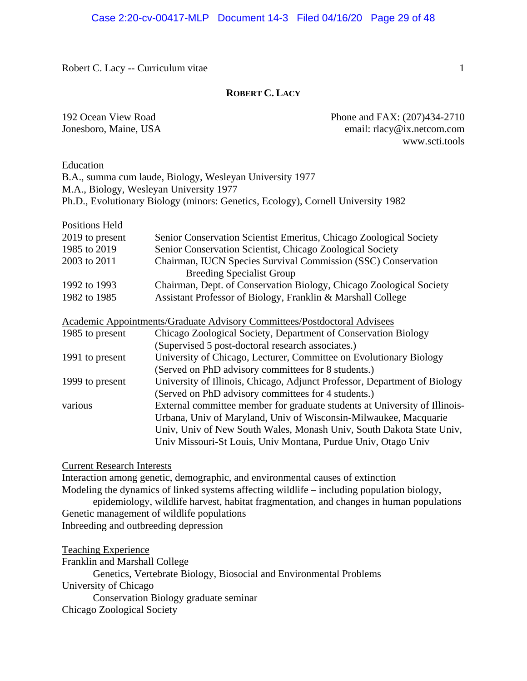#### **ROBERT C. LACY**

192 Ocean View Road Phone and FAX: (207)434-2710 Jonesboro, Maine, USA email: rlacy@ix.netcom.com www.scti.tools

#### Education

B.A., summa cum laude, Biology, Wesleyan University 1977 M.A., Biology, Wesleyan University 1977 Ph.D., Evolutionary Biology (minors: Genetics, Ecology), Cornell University 1982

| <b>Positions Held</b>             |  |
|-----------------------------------|--|
| $\bullet \bullet \bullet \bullet$ |  |

| 2019 to present | Senior Conservation Scientist Emeritus, Chicago Zoological Society  |
|-----------------|---------------------------------------------------------------------|
| 1985 to 2019    | Senior Conservation Scientist, Chicago Zoological Society           |
| 2003 to 2011    | Chairman, IUCN Species Survival Commission (SSC) Conservation       |
|                 | <b>Breeding Specialist Group</b>                                    |
| 1992 to 1993    | Chairman, Dept. of Conservation Biology, Chicago Zoological Society |
| 1982 to 1985    | Assistant Professor of Biology, Franklin & Marshall College         |

#### Academic Appointments/Graduate Advisory Committees/Postdoctoral Advisees

| 1985 to present | Chicago Zoological Society, Department of Conservation Biology             |
|-----------------|----------------------------------------------------------------------------|
|                 | (Supervised 5 post-doctoral research associates.)                          |
| 1991 to present | University of Chicago, Lecturer, Committee on Evolutionary Biology         |
|                 | (Served on PhD advisory committees for 8 students.)                        |
| 1999 to present | University of Illinois, Chicago, Adjunct Professor, Department of Biology  |
|                 | (Served on PhD advisory committees for 4 students.)                        |
| various         | External committee member for graduate students at University of Illinois- |
|                 | Urbana, Univ of Maryland, Univ of Wisconsin-Milwaukee, Macquarie           |
|                 | Univ, Univ of New South Wales, Monash Univ, South Dakota State Univ,       |
|                 | Univ Missouri-St Louis, Univ Montana, Purdue Univ, Otago Univ              |
|                 |                                                                            |

#### Current Research Interests

Interaction among genetic, demographic, and environmental causes of extinction Modeling the dynamics of linked systems affecting wildlife – including population biology, epidemiology, wildlife harvest, habitat fragmentation, and changes in human populations Genetic management of wildlife populations

Inbreeding and outbreeding depression

Teaching Experience

| Franklin and Marshall College                                      |
|--------------------------------------------------------------------|
| Genetics, Vertebrate Biology, Biosocial and Environmental Problems |
| University of Chicago                                              |
| Conservation Biology graduate seminar                              |
| Chicago Zoological Society                                         |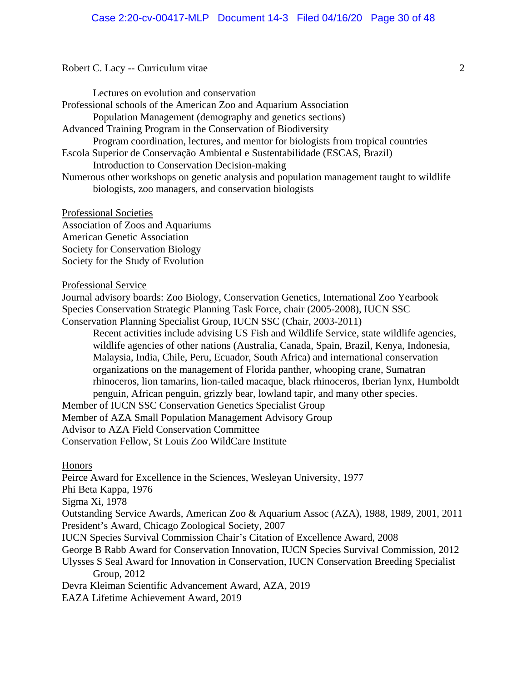Lectures on evolution and conservation Professional schools of the American Zoo and Aquarium Association Population Management (demography and genetics sections) Advanced Training Program in the Conservation of Biodiversity Program coordination, lectures, and mentor for biologists from tropical countries Escola Superior de Conservação Ambiental e Sustentabilidade (ESCAS, Brazil) Introduction to Conservation Decision-making Numerous other workshops on genetic analysis and population management taught to wildlife biologists, zoo managers, and conservation biologists

Professional Societies Association of Zoos and Aquariums American Genetic Association Society for Conservation Biology Society for the Study of Evolution

#### Professional Service

Journal advisory boards: Zoo Biology, Conservation Genetics, International Zoo Yearbook Species Conservation Strategic Planning Task Force, chair (2005-2008), IUCN SSC Conservation Planning Specialist Group, IUCN SSC (Chair, 2003-2011)

Recent activities include advising US Fish and Wildlife Service, state wildlife agencies, wildlife agencies of other nations (Australia, Canada, Spain, Brazil, Kenya, Indonesia, Malaysia, India, Chile, Peru, Ecuador, South Africa) and international conservation organizations on the management of Florida panther, whooping crane, Sumatran rhinoceros, lion tamarins, lion-tailed macaque, black rhinoceros, Iberian lynx, Humboldt penguin, African penguin, grizzly bear, lowland tapir, and many other species.

Member of IUCN SSC Conservation Genetics Specialist Group Member of AZA Small Population Management Advisory Group Advisor to AZA Field Conservation Committee Conservation Fellow, St Louis Zoo WildCare Institute

Honors

Peirce Award for Excellence in the Sciences, Wesleyan University, 1977 Phi Beta Kappa, 1976 Sigma Xi, 1978 Outstanding Service Awards, American Zoo & Aquarium Assoc (AZA), 1988, 1989, 2001, 2011 President's Award, Chicago Zoological Society, 2007 IUCN Species Survival Commission Chair's Citation of Excellence Award, 2008 George B Rabb Award for Conservation Innovation, IUCN Species Survival Commission, 2012 Ulysses S Seal Award for Innovation in Conservation, IUCN Conservation Breeding Specialist Group, 2012 Devra Kleiman Scientific Advancement Award, AZA, 2019 EAZA Lifetime Achievement Award, 2019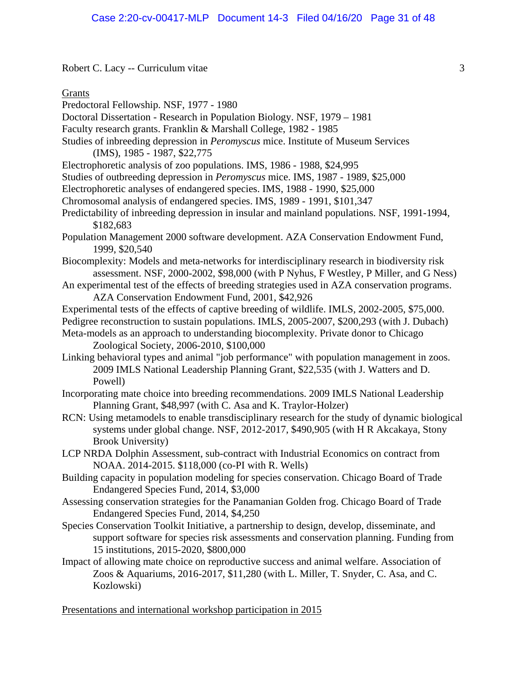Grants

- Predoctoral Fellowship. NSF, 1977 1980
- Doctoral Dissertation Research in Population Biology. NSF, 1979 1981
- Faculty research grants. Franklin & Marshall College, 1982 1985
- Studies of inbreeding depression in *Peromyscus* mice. Institute of Museum Services (IMS), 1985 - 1987, \$22,775
- Electrophoretic analysis of zoo populations. IMS, 1986 1988, \$24,995
- Studies of outbreeding depression in *Peromyscus* mice. IMS, 1987 1989, \$25,000
- Electrophoretic analyses of endangered species. IMS, 1988 1990, \$25,000
- Chromosomal analysis of endangered species. IMS, 1989 1991, \$101,347
- Predictability of inbreeding depression in insular and mainland populations. NSF, 1991-1994, \$182,683
- Population Management 2000 software development. AZA Conservation Endowment Fund, 1999, \$20,540
- Biocomplexity: Models and meta-networks for interdisciplinary research in biodiversity risk assessment. NSF, 2000-2002, \$98,000 (with P Nyhus, F Westley, P Miller, and G Ness)
- An experimental test of the effects of breeding strategies used in AZA conservation programs. AZA Conservation Endowment Fund, 2001, \$42,926
- Experimental tests of the effects of captive breeding of wildlife. IMLS, 2002-2005, \$75,000.
- Pedigree reconstruction to sustain populations. IMLS, 2005-2007, \$200,293 (with J. Dubach) Meta-models as an approach to understanding biocomplexity. Private donor to Chicago Zoological Society, 2006-2010, \$100,000
- Linking behavioral types and animal "job performance" with population management in zoos. 2009 IMLS National Leadership Planning Grant, \$22,535 (with J. Watters and D. Powell)
- Incorporating mate choice into breeding recommendations. 2009 IMLS National Leadership Planning Grant, \$48,997 (with C. Asa and K. Traylor-Holzer)
- RCN: Using metamodels to enable transdisciplinary research for the study of dynamic biological systems under global change. NSF, 2012-2017, \$490,905 (with H R Akcakaya, Stony Brook University)
- LCP NRDA Dolphin Assessment, sub-contract with Industrial Economics on contract from NOAA. 2014-2015. \$118,000 (co-PI with R. Wells)
- Building capacity in population modeling for species conservation. Chicago Board of Trade Endangered Species Fund, 2014, \$3,000
- Assessing conservation strategies for the Panamanian Golden frog. Chicago Board of Trade Endangered Species Fund, 2014, \$4,250
- Species Conservation Toolkit Initiative, a partnership to design, develop, disseminate, and support software for species risk assessments and conservation planning. Funding from 15 institutions, 2015-2020, \$800,000
- Impact of allowing mate choice on reproductive success and animal welfare. Association of Zoos & Aquariums, 2016-2017, \$11,280 (with L. Miller, T. Snyder, C. Asa, and C. Kozlowski)

Presentations and international workshop participation in 2015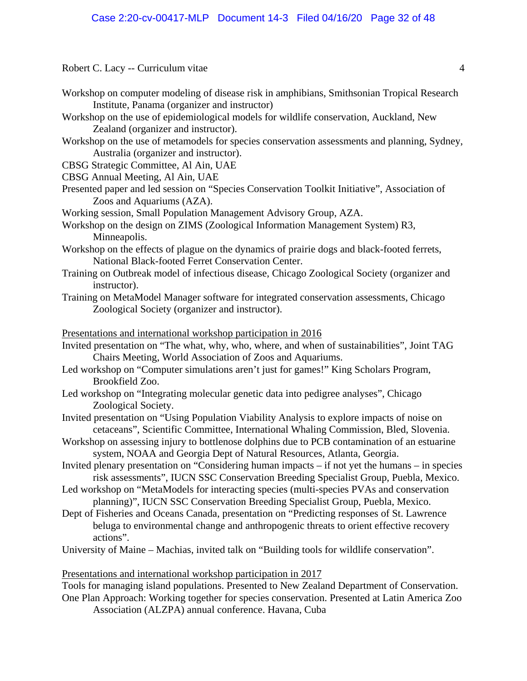- Workshop on computer modeling of disease risk in amphibians, Smithsonian Tropical Research Institute, Panama (organizer and instructor)
- Workshop on the use of epidemiological models for wildlife conservation, Auckland, New Zealand (organizer and instructor).
- Workshop on the use of metamodels for species conservation assessments and planning, Sydney, Australia (organizer and instructor).

CBSG Strategic Committee, Al Ain, UAE

CBSG Annual Meeting, Al Ain, UAE

- Presented paper and led session on "Species Conservation Toolkit Initiative", Association of Zoos and Aquariums (AZA).
- Working session, Small Population Management Advisory Group, AZA.
- Workshop on the design on ZIMS (Zoological Information Management System) R3, Minneapolis.
- Workshop on the effects of plague on the dynamics of prairie dogs and black-footed ferrets, National Black-footed Ferret Conservation Center.
- Training on Outbreak model of infectious disease, Chicago Zoological Society (organizer and instructor).
- Training on MetaModel Manager software for integrated conservation assessments, Chicago Zoological Society (organizer and instructor).

Presentations and international workshop participation in 2016

- Invited presentation on "The what, why, who, where, and when of sustainabilities", Joint TAG Chairs Meeting, World Association of Zoos and Aquariums.
- Led workshop on "Computer simulations aren't just for games!" King Scholars Program, Brookfield Zoo.
- Led workshop on "Integrating molecular genetic data into pedigree analyses", Chicago Zoological Society.
- Invited presentation on "Using Population Viability Analysis to explore impacts of noise on cetaceans", Scientific Committee, International Whaling Commission, Bled, Slovenia.
- Workshop on assessing injury to bottlenose dolphins due to PCB contamination of an estuarine system, NOAA and Georgia Dept of Natural Resources, Atlanta, Georgia.
- Invited plenary presentation on "Considering human impacts if not yet the humans in species risk assessments", IUCN SSC Conservation Breeding Specialist Group, Puebla, Mexico.
- Led workshop on "MetaModels for interacting species (multi-species PVAs and conservation planning)", IUCN SSC Conservation Breeding Specialist Group, Puebla, Mexico.
- Dept of Fisheries and Oceans Canada, presentation on "Predicting responses of St. Lawrence beluga to environmental change and anthropogenic threats to orient effective recovery actions".
- University of Maine Machias, invited talk on "Building tools for wildlife conservation".

# Presentations and international workshop participation in 2017

Tools for managing island populations. Presented to New Zealand Department of Conservation. One Plan Approach: Working together for species conservation. Presented at Latin America Zoo Association (ALZPA) annual conference. Havana, Cuba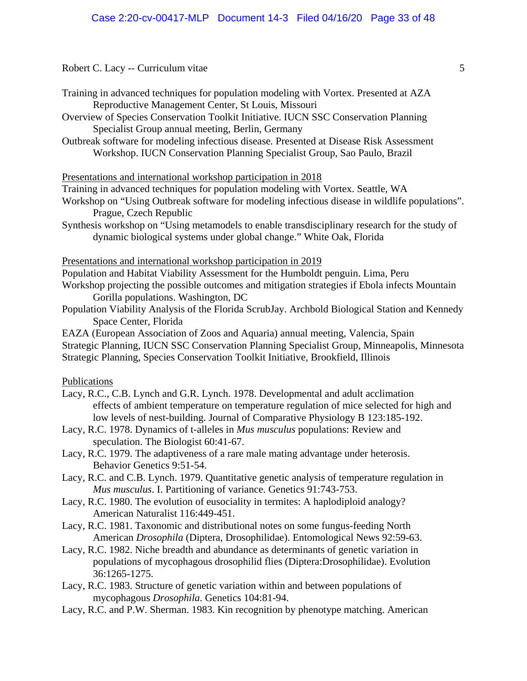| Training in advanced techniques for population modeling with Vortex. Presented at AZA |
|---------------------------------------------------------------------------------------|
| Reproductive Management Center, St Louis, Missouri                                    |

Overview of Species Conservation Toolkit Initiative. IUCN SSC Conservation Planning Specialist Group annual meeting, Berlin, Germany

Outbreak software for modeling infectious disease*.* Presented at Disease Risk Assessment Workshop. IUCN Conservation Planning Specialist Group, Sao Paulo, Brazil

#### Presentations and international workshop participation in 2018

Training in advanced techniques for population modeling with Vortex. Seattle, WA

- Workshop on "Using Outbreak software for modeling infectious disease in wildlife populations". Prague, Czech Republic
- Synthesis workshop on "Using metamodels to enable transdisciplinary research for the study of dynamic biological systems under global change." White Oak, Florida

### Presentations and international workshop participation in 2019

Population and Habitat Viability Assessment for the Humboldt penguin. Lima, Peru

Workshop projecting the possible outcomes and mitigation strategies if Ebola infects Mountain Gorilla populations. Washington, DC

Population Viability Analysis of the Florida ScrubJay. Archbold Biological Station and Kennedy Space Center, Florida

EAZA (European Association of Zoos and Aquaria) annual meeting, Valencia, Spain Strategic Planning, IUCN SSC Conservation Planning Specialist Group, Minneapolis, Minnesota Strategic Planning, Species Conservation Toolkit Initiative, Brookfield, Illinois

# Publications

- Lacy, R.C., C.B. Lynch and G.R. Lynch. 1978. Developmental and adult acclimation effects of ambient temperature on temperature regulation of mice selected for high and low levels of nest-building. Journal of Comparative Physiology B 123:185-192.
- Lacy, R.C. 1978. Dynamics of t-alleles in *Mus musculus* populations: Review and speculation. The Biologist 60:41-67.
- Lacy, R.C. 1979. The adaptiveness of a rare male mating advantage under heterosis. Behavior Genetics 9:51-54.
- Lacy, R.C. and C.B. Lynch. 1979. Quantitative genetic analysis of temperature regulation in *Mus musculus*. I. Partitioning of variance. Genetics 91:743-753.
- Lacy, R.C. 1980. The evolution of eusociality in termites: A haplodiploid analogy? American Naturalist 116:449-451.
- Lacy, R.C. 1981. Taxonomic and distributional notes on some fungus-feeding North American *Drosophila* (Diptera, Drosophilidae). Entomological News 92:59-63.
- Lacy, R.C. 1982. Niche breadth and abundance as determinants of genetic variation in populations of mycophagous drosophilid flies (Diptera:Drosophilidae). Evolution 36:1265-1275.
- Lacy, R.C. 1983. Structure of genetic variation within and between populations of mycophagous *Drosophila*. Genetics 104:81-94.
- Lacy, R.C. and P.W. Sherman. 1983. Kin recognition by phenotype matching. American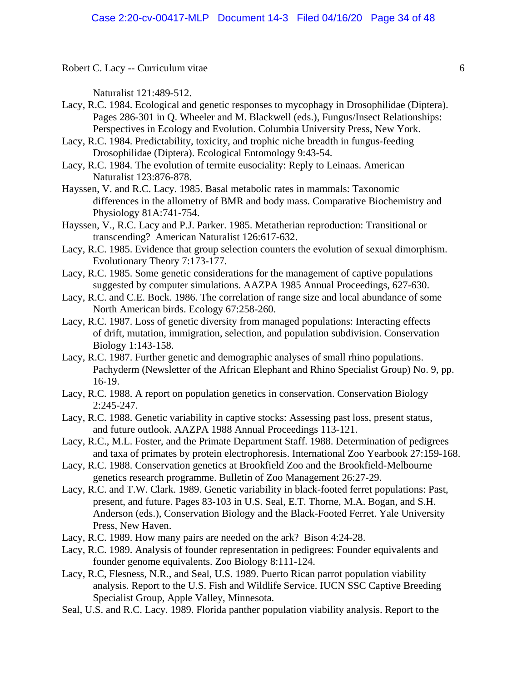Naturalist 121:489-512.

- Lacy, R.C. 1984. Ecological and genetic responses to mycophagy in Drosophilidae (Diptera). Pages 286-301 in Q. Wheeler and M. Blackwell (eds.), Fungus/Insect Relationships: Perspectives in Ecology and Evolution. Columbia University Press, New York.
- Lacy, R.C. 1984. Predictability, toxicity, and trophic niche breadth in fungus-feeding Drosophilidae (Diptera). Ecological Entomology 9:43-54.
- Lacy, R.C. 1984. The evolution of termite eusociality: Reply to Leinaas. American Naturalist 123:876-878.
- Hayssen, V. and R.C. Lacy. 1985. Basal metabolic rates in mammals: Taxonomic differences in the allometry of BMR and body mass. Comparative Biochemistry and Physiology 81A:741-754.
- Hayssen, V., R.C. Lacy and P.J. Parker. 1985. Metatherian reproduction: Transitional or transcending? American Naturalist 126:617-632.
- Lacy, R.C. 1985. Evidence that group selection counters the evolution of sexual dimorphism. Evolutionary Theory 7:173-177.
- Lacy, R.C. 1985. Some genetic considerations for the management of captive populations suggested by computer simulations. AAZPA 1985 Annual Proceedings, 627-630.
- Lacy, R.C. and C.E. Bock. 1986. The correlation of range size and local abundance of some North American birds. Ecology 67:258-260.
- Lacy, R.C. 1987. Loss of genetic diversity from managed populations: Interacting effects of drift, mutation, immigration, selection, and population subdivision. Conservation Biology 1:143-158.
- Lacy, R.C. 1987. Further genetic and demographic analyses of small rhino populations. Pachyderm (Newsletter of the African Elephant and Rhino Specialist Group) No. 9, pp. 16-19.
- Lacy, R.C. 1988. A report on population genetics in conservation. Conservation Biology 2:245-247.
- Lacy, R.C. 1988. Genetic variability in captive stocks: Assessing past loss, present status, and future outlook. AAZPA 1988 Annual Proceedings 113-121.
- Lacy, R.C., M.L. Foster, and the Primate Department Staff. 1988. Determination of pedigrees and taxa of primates by protein electrophoresis. International Zoo Yearbook 27:159-168.
- Lacy, R.C. 1988. Conservation genetics at Brookfield Zoo and the Brookfield-Melbourne genetics research programme. Bulletin of Zoo Management 26:27-29.
- Lacy, R.C. and T.W. Clark. 1989. Genetic variability in black-footed ferret populations: Past, present, and future. Pages 83-103 in U.S. Seal, E.T. Thorne, M.A. Bogan, and S.H. Anderson (eds.), Conservation Biology and the Black-Footed Ferret. Yale University Press, New Haven.
- Lacy, R.C. 1989. How many pairs are needed on the ark? Bison 4:24-28.
- Lacy, R.C. 1989. Analysis of founder representation in pedigrees: Founder equivalents and founder genome equivalents. Zoo Biology 8:111-124.
- Lacy, R.C, Flesness, N.R., and Seal, U.S. 1989. Puerto Rican parrot population viability analysis. Report to the U.S. Fish and Wildlife Service. IUCN SSC Captive Breeding Specialist Group, Apple Valley, Minnesota.
- Seal, U.S. and R.C. Lacy. 1989. Florida panther population viability analysis. Report to the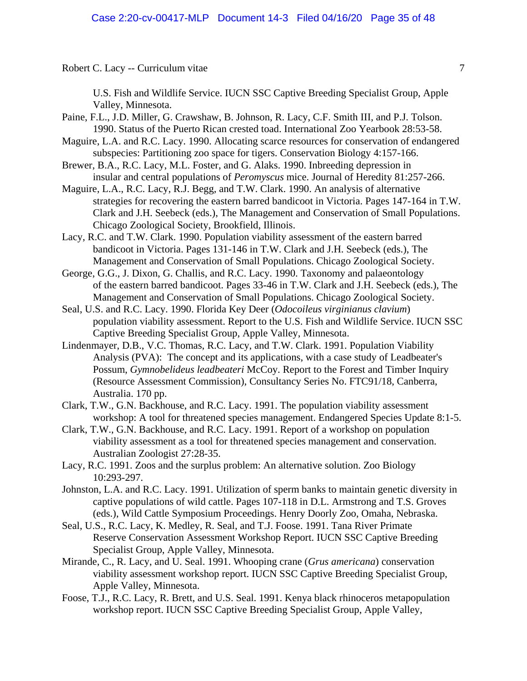U.S. Fish and Wildlife Service. IUCN SSC Captive Breeding Specialist Group, Apple Valley, Minnesota.

- Paine, F.L., J.D. Miller, G. Crawshaw, B. Johnson, R. Lacy, C.F. Smith III, and P.J. Tolson. 1990. Status of the Puerto Rican crested toad. International Zoo Yearbook 28:53-58.
- Maguire, L.A. and R.C. Lacy. 1990. Allocating scarce resources for conservation of endangered subspecies: Partitioning zoo space for tigers. Conservation Biology 4:157-166.
- Brewer, B.A., R.C. Lacy, M.L. Foster, and G. Alaks. 1990. Inbreeding depression in insular and central populations of *Peromyscus* mice. Journal of Heredity 81:257-266.
- Maguire, L.A., R.C. Lacy, R.J. Begg, and T.W. Clark. 1990. An analysis of alternative strategies for recovering the eastern barred bandicoot in Victoria. Pages 147-164 in T.W. Clark and J.H. Seebeck (eds.), The Management and Conservation of Small Populations. Chicago Zoological Society, Brookfield, Illinois.
- Lacy, R.C. and T.W. Clark. 1990. Population viability assessment of the eastern barred bandicoot in Victoria. Pages 131-146 in T.W. Clark and J.H. Seebeck (eds.), The Management and Conservation of Small Populations. Chicago Zoological Society.
- George, G.G., J. Dixon, G. Challis, and R.C. Lacy. 1990. Taxonomy and palaeontology of the eastern barred bandicoot. Pages 33-46 in T.W. Clark and J.H. Seebeck (eds.), The Management and Conservation of Small Populations. Chicago Zoological Society.
- Seal, U.S. and R.C. Lacy. 1990. Florida Key Deer (*Odocoileus virginianus clavium*) population viability assessment. Report to the U.S. Fish and Wildlife Service. IUCN SSC Captive Breeding Specialist Group, Apple Valley, Minnesota.
- Lindenmayer, D.B., V.C. Thomas, R.C. Lacy, and T.W. Clark. 1991. Population Viability Analysis (PVA): The concept and its applications, with a case study of Leadbeater's Possum, *Gymnobelideus leadbeateri* McCoy. Report to the Forest and Timber Inquiry (Resource Assessment Commission), Consultancy Series No. FTC91/18, Canberra, Australia. 170 pp.
- Clark, T.W., G.N. Backhouse, and R.C. Lacy. 1991. The population viability assessment workshop: A tool for threatened species management. Endangered Species Update 8:1-5.
- Clark, T.W., G.N. Backhouse, and R.C. Lacy. 1991. Report of a workshop on population viability assessment as a tool for threatened species management and conservation. Australian Zoologist 27:28-35.
- Lacy, R.C. 1991. Zoos and the surplus problem: An alternative solution. Zoo Biology 10:293-297.
- Johnston, L.A. and R.C. Lacy. 1991. Utilization of sperm banks to maintain genetic diversity in captive populations of wild cattle. Pages 107-118 in D.L. Armstrong and T.S. Groves (eds.), Wild Cattle Symposium Proceedings. Henry Doorly Zoo, Omaha, Nebraska.
- Seal, U.S., R.C. Lacy, K. Medley, R. Seal, and T.J. Foose. 1991. Tana River Primate Reserve Conservation Assessment Workshop Report. IUCN SSC Captive Breeding Specialist Group, Apple Valley, Minnesota.
- Mirande, C., R. Lacy, and U. Seal. 1991. Whooping crane (*Grus americana*) conservation viability assessment workshop report. IUCN SSC Captive Breeding Specialist Group, Apple Valley, Minnesota.
- Foose, T.J., R.C. Lacy, R. Brett, and U.S. Seal. 1991. Kenya black rhinoceros metapopulation workshop report. IUCN SSC Captive Breeding Specialist Group, Apple Valley,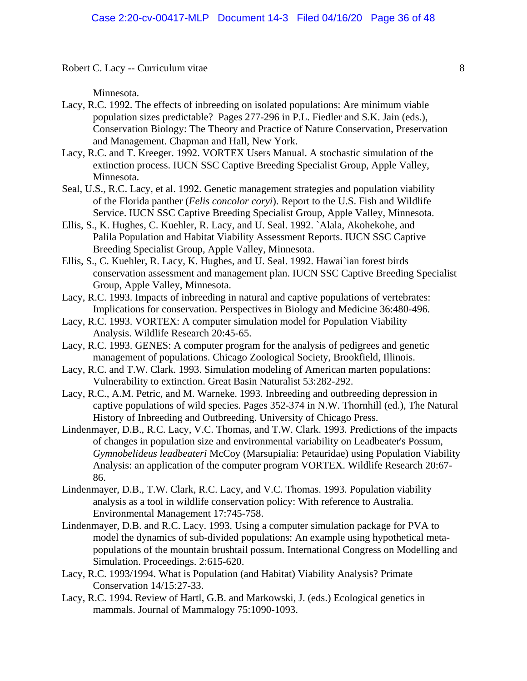Minnesota.

- Lacy, R.C. 1992. The effects of inbreeding on isolated populations: Are minimum viable population sizes predictable? Pages 277-296 in P.L. Fiedler and S.K. Jain (eds.), Conservation Biology: The Theory and Practice of Nature Conservation, Preservation and Management. Chapman and Hall, New York.
- Lacy, R.C. and T. Kreeger. 1992. VORTEX Users Manual. A stochastic simulation of the extinction process. IUCN SSC Captive Breeding Specialist Group, Apple Valley, Minnesota.
- Seal, U.S., R.C. Lacy, et al. 1992. Genetic management strategies and population viability of the Florida panther (*Felis concolor coryi*). Report to the U.S. Fish and Wildlife Service. IUCN SSC Captive Breeding Specialist Group, Apple Valley, Minnesota.
- Ellis, S., K. Hughes, C. Kuehler, R. Lacy, and U. Seal. 1992. `Alala, Akohekohe, and Palila Population and Habitat Viability Assessment Reports. IUCN SSC Captive Breeding Specialist Group, Apple Valley, Minnesota.
- Ellis, S., C. Kuehler, R. Lacy, K. Hughes, and U. Seal. 1992. Hawai`ian forest birds conservation assessment and management plan. IUCN SSC Captive Breeding Specialist Group, Apple Valley, Minnesota.
- Lacy, R.C. 1993. Impacts of inbreeding in natural and captive populations of vertebrates: Implications for conservation. Perspectives in Biology and Medicine 36:480-496.
- Lacy, R.C. 1993. VORTEX: A computer simulation model for Population Viability Analysis. Wildlife Research 20:45-65.
- Lacy, R.C. 1993. GENES: A computer program for the analysis of pedigrees and genetic management of populations. Chicago Zoological Society, Brookfield, Illinois.
- Lacy, R.C. and T.W. Clark. 1993. Simulation modeling of American marten populations: Vulnerability to extinction. Great Basin Naturalist 53:282-292.
- Lacy, R.C., A.M. Petric, and M. Warneke. 1993. Inbreeding and outbreeding depression in captive populations of wild species. Pages 352-374 in N.W. Thornhill (ed.), The Natural History of Inbreeding and Outbreeding. University of Chicago Press.
- Lindenmayer, D.B., R.C. Lacy, V.C. Thomas, and T.W. Clark. 1993. Predictions of the impacts of changes in population size and environmental variability on Leadbeater's Possum, *Gymnobelideus leadbeateri* McCoy (Marsupialia: Petauridae) using Population Viability Analysis: an application of the computer program VORTEX. Wildlife Research 20:67- 86.
- Lindenmayer, D.B., T.W. Clark, R.C. Lacy, and V.C. Thomas. 1993. Population viability analysis as a tool in wildlife conservation policy: With reference to Australia. Environmental Management 17:745-758.
- Lindenmayer, D.B. and R.C. Lacy. 1993. Using a computer simulation package for PVA to model the dynamics of sub-divided populations: An example using hypothetical metapopulations of the mountain brushtail possum. International Congress on Modelling and Simulation. Proceedings. 2:615-620.
- Lacy, R.C. 1993/1994. What is Population (and Habitat) Viability Analysis? Primate Conservation 14/15:27-33.
- Lacy, R.C. 1994. Review of Hartl, G.B. and Markowski, J. (eds.) Ecological genetics in mammals. Journal of Mammalogy 75:1090-1093.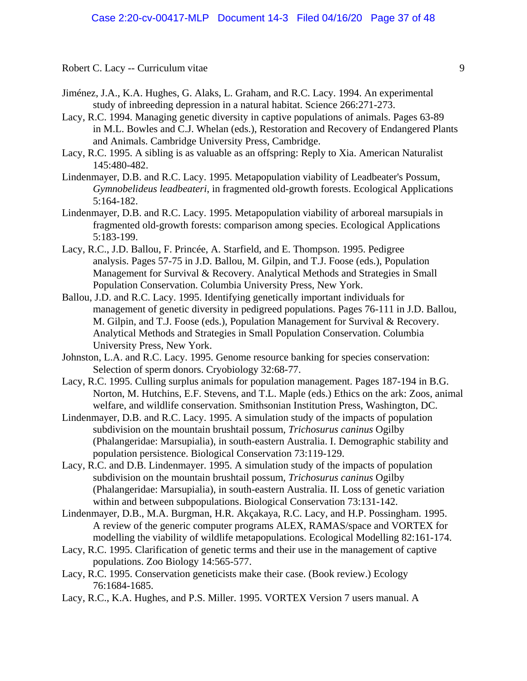- Jiménez, J.A., K.A. Hughes, G. Alaks, L. Graham, and R.C. Lacy. 1994. An experimental study of inbreeding depression in a natural habitat. Science 266:271-273.
- Lacy, R.C. 1994. Managing genetic diversity in captive populations of animals. Pages 63-89 in M.L. Bowles and C.J. Whelan (eds.), Restoration and Recovery of Endangered Plants and Animals. Cambridge University Press, Cambridge.
- Lacy, R.C. 1995. A sibling is as valuable as an offspring: Reply to Xia. American Naturalist 145:480-482.
- Lindenmayer, D.B. and R.C. Lacy. 1995. Metapopulation viability of Leadbeater's Possum, *Gymnobelideus leadbeateri*, in fragmented old-growth forests. Ecological Applications 5:164-182.
- Lindenmayer, D.B. and R.C. Lacy. 1995. Metapopulation viability of arboreal marsupials in fragmented old-growth forests: comparison among species. Ecological Applications 5:183-199.
- Lacy, R.C., J.D. Ballou, F. Princée, A. Starfield, and E. Thompson. 1995. Pedigree analysis. Pages 57-75 in J.D. Ballou, M. Gilpin, and T.J. Foose (eds.), Population Management for Survival & Recovery. Analytical Methods and Strategies in Small Population Conservation. Columbia University Press, New York.
- Ballou, J.D. and R.C. Lacy. 1995. Identifying genetically important individuals for management of genetic diversity in pedigreed populations. Pages 76-111 in J.D. Ballou, M. Gilpin, and T.J. Foose (eds.), Population Management for Survival & Recovery. Analytical Methods and Strategies in Small Population Conservation. Columbia University Press, New York.
- Johnston, L.A. and R.C. Lacy. 1995. Genome resource banking for species conservation: Selection of sperm donors. Cryobiology 32:68-77.
- Lacy, R.C. 1995. Culling surplus animals for population management. Pages 187-194 in B.G. Norton, M. Hutchins, E.F. Stevens, and T.L. Maple (eds.) Ethics on the ark: Zoos, animal welfare, and wildlife conservation. Smithsonian Institution Press, Washington, DC.
- Lindenmayer, D.B. and R.C. Lacy. 1995. A simulation study of the impacts of population subdivision on the mountain brushtail possum, *Trichosurus caninus* Ogilby (Phalangeridae: Marsupialia), in south-eastern Australia. I. Demographic stability and population persistence. Biological Conservation 73:119-129.
- Lacy, R.C. and D.B. Lindenmayer. 1995. A simulation study of the impacts of population subdivision on the mountain brushtail possum, *Trichosurus caninus* Ogilby (Phalangeridae: Marsupialia), in south-eastern Australia. II. Loss of genetic variation within and between subpopulations. Biological Conservation 73:131-142.
- Lindenmayer, D.B., M.A. Burgman, H.R. Akçakaya, R.C. Lacy, and H.P. Possingham. 1995. A review of the generic computer programs ALEX, RAMAS/space and VORTEX for modelling the viability of wildlife metapopulations. Ecological Modelling 82:161-174.
- Lacy, R.C. 1995. Clarification of genetic terms and their use in the management of captive populations. Zoo Biology 14:565-577.
- Lacy, R.C. 1995. Conservation geneticists make their case. (Book review.) Ecology 76:1684-1685.
- Lacy, R.C., K.A. Hughes, and P.S. Miller. 1995. VORTEX Version 7 users manual. A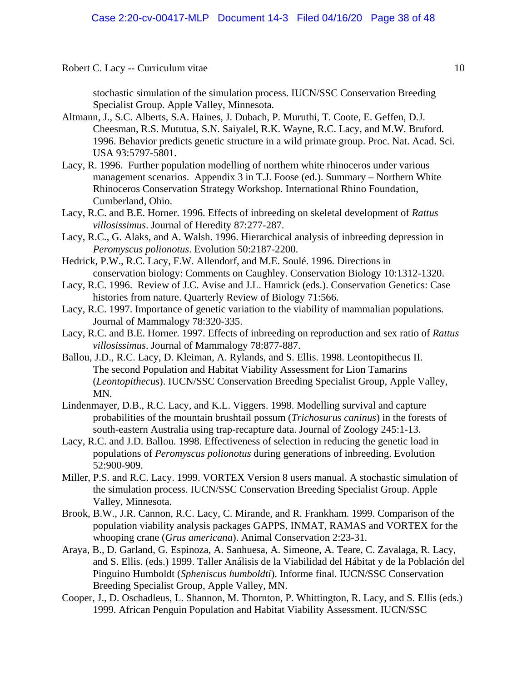stochastic simulation of the simulation process. IUCN/SSC Conservation Breeding Specialist Group. Apple Valley, Minnesota.

- Altmann, J., S.C. Alberts, S.A. Haines, J. Dubach, P. Muruthi, T. Coote, E. Geffen, D.J. Cheesman, R.S. Mututua, S.N. Saiyalel, R.K. Wayne, R.C. Lacy, and M.W. Bruford. 1996. Behavior predicts genetic structure in a wild primate group. Proc. Nat. Acad. Sci. USA 93:5797-5801.
- Lacy, R. 1996. Further population modelling of northern white rhinoceros under various management scenarios. Appendix 3 in T.J. Foose (ed.). Summary – Northern White Rhinoceros Conservation Strategy Workshop. International Rhino Foundation, Cumberland, Ohio.
- Lacy, R.C. and B.E. Horner. 1996. Effects of inbreeding on skeletal development of *Rattus villosissimus*. Journal of Heredity 87:277-287.
- Lacy, R.C., G. Alaks, and A. Walsh. 1996. Hierarchical analysis of inbreeding depression in *Peromyscus polionotus*. Evolution 50:2187-2200.
- Hedrick, P.W., R.C. Lacy, F.W. Allendorf, and M.E. Soulé. 1996. Directions in conservation biology: Comments on Caughley. Conservation Biology 10:1312-1320.
- Lacy, R.C. 1996. Review of J.C. Avise and J.L. Hamrick (eds.). Conservation Genetics: Case histories from nature. Quarterly Review of Biology 71:566.
- Lacy, R.C. 1997. Importance of genetic variation to the viability of mammalian populations. Journal of Mammalogy 78:320-335.
- Lacy, R.C. and B.E. Horner. 1997. Effects of inbreeding on reproduction and sex ratio of *Rattus villosissimus*. Journal of Mammalogy 78:877-887.
- Ballou, J.D., R.C. Lacy, D. Kleiman, A. Rylands, and S. Ellis. 1998. Leontopithecus II. The second Population and Habitat Viability Assessment for Lion Tamarins (*Leontopithecus*). IUCN/SSC Conservation Breeding Specialist Group, Apple Valley, MN.
- Lindenmayer, D.B., R.C. Lacy, and K.L. Viggers. 1998. Modelling survival and capture probabilities of the mountain brushtail possum (*Trichosurus caninus*) in the forests of south-eastern Australia using trap-recapture data. Journal of Zoology 245:1-13.
- Lacy, R.C. and J.D. Ballou. 1998. Effectiveness of selection in reducing the genetic load in populations of *Peromyscus polionotus* during generations of inbreeding. Evolution 52:900-909.
- Miller, P.S. and R.C. Lacy. 1999. VORTEX Version 8 users manual. A stochastic simulation of the simulation process. IUCN/SSC Conservation Breeding Specialist Group. Apple Valley, Minnesota.
- Brook, B.W., J.R. Cannon, R.C. Lacy, C. Mirande, and R. Frankham. 1999. Comparison of the population viability analysis packages GAPPS, INMAT, RAMAS and VORTEX for the whooping crane (*Grus americana*). Animal Conservation 2:23-31.
- Araya, B., D. Garland, G. Espinoza, A. Sanhuesa, A. Simeone, A. Teare, C. Zavalaga, R. Lacy, and S. Ellis. (eds.) 1999. Taller Análisis de la Viabilidad del Hábitat y de la Población del Pinguino Humboldt (*Spheniscus humboldti*). Informe final. IUCN/SSC Conservation Breeding Specialist Group, Apple Valley, MN.
- Cooper, J., D. Oschadleus, L. Shannon, M. Thornton, P. Whittington, R. Lacy, and S. Ellis (eds.) 1999. African Penguin Population and Habitat Viability Assessment. IUCN/SSC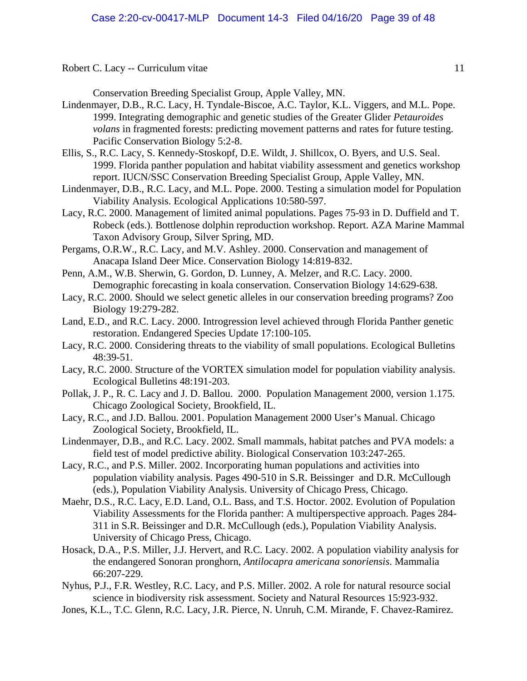Conservation Breeding Specialist Group, Apple Valley, MN.

- Lindenmayer, D.B., R.C. Lacy, H. Tyndale-Biscoe, A.C. Taylor, K.L. Viggers, and M.L. Pope. 1999. Integrating demographic and genetic studies of the Greater Glider *Petauroides volans* in fragmented forests: predicting movement patterns and rates for future testing. Pacific Conservation Biology 5:2-8.
- Ellis, S., R.C. Lacy, S. Kennedy-Stoskopf, D.E. Wildt, J. Shillcox, O. Byers, and U.S. Seal. 1999. Florida panther population and habitat viability assessment and genetics workshop report. IUCN/SSC Conservation Breeding Specialist Group, Apple Valley, MN.
- Lindenmayer, D.B., R.C. Lacy, and M.L. Pope. 2000. Testing a simulation model for Population Viability Analysis. Ecological Applications 10:580-597.
- Lacy, R.C. 2000. Management of limited animal populations. Pages 75-93 in D. Duffield and T. Robeck (eds.). Bottlenose dolphin reproduction workshop. Report. AZA Marine Mammal Taxon Advisory Group, Silver Spring, MD.
- Pergams, O.R.W., R.C. Lacy, and M.V. Ashley. 2000. Conservation and management of Anacapa Island Deer Mice. Conservation Biology 14:819-832.
- Penn, A.M., W.B. Sherwin, G. Gordon, D. Lunney, A. Melzer, and R.C. Lacy. 2000. Demographic forecasting in koala conservation. Conservation Biology 14:629-638.
- Lacy, R.C. 2000. Should we select genetic alleles in our conservation breeding programs? Zoo Biology 19:279-282.
- Land, E.D., and R.C. Lacy. 2000. Introgression level achieved through Florida Panther genetic restoration. Endangered Species Update 17:100-105.
- Lacy, R.C. 2000. Considering threats to the viability of small populations. Ecological Bulletins 48:39-51.
- Lacy, R.C. 2000. Structure of the VORTEX simulation model for population viability analysis. Ecological Bulletins 48:191-203.
- Pollak, J. P., R. C. Lacy and J. D. Ballou. 2000. Population Management 2000, version 1.175. Chicago Zoological Society, Brookfield, IL.
- Lacy, R.C., and J.D. Ballou. 2001. Population Management 2000 User's Manual. Chicago Zoological Society, Brookfield, IL.
- Lindenmayer, D.B., and R.C. Lacy. 2002. Small mammals, habitat patches and PVA models: a field test of model predictive ability. Biological Conservation 103:247-265.
- Lacy, R.C., and P.S. Miller. 2002. Incorporating human populations and activities into population viability analysis. Pages 490-510 in S.R. Beissinger and D.R. McCullough (eds.), Population Viability Analysis. University of Chicago Press, Chicago.
- Maehr, D.S., R.C. Lacy, E.D. Land, O.L. Bass, and T.S. Hoctor. 2002. Evolution of Population Viability Assessments for the Florida panther: A multiperspective approach. Pages 284- 311 in S.R. Beissinger and D.R. McCullough (eds.), Population Viability Analysis. University of Chicago Press, Chicago.
- Hosack, D.A., P.S. Miller, J.J. Hervert, and R.C. Lacy. 2002. A population viability analysis for the endangered Sonoran pronghorn, *Antilocapra americana sonoriensis*. Mammalia 66:207-229.
- Nyhus, P.J., F.R. Westley, R.C. Lacy, and P.S. Miller. 2002. A role for natural resource social science in biodiversity risk assessment. Society and Natural Resources 15:923-932.
- Jones, K.L., T.C. Glenn, R.C. Lacy, J.R. Pierce, N. Unruh, C.M. Mirande, F. Chavez-Ramirez.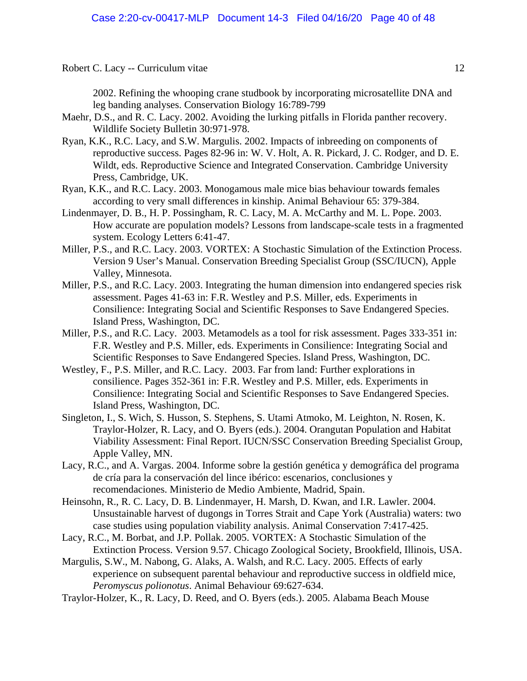2002. Refining the whooping crane studbook by incorporating microsatellite DNA and leg banding analyses. Conservation Biology 16:789-799

Maehr, D.S., and R. C. Lacy. 2002. Avoiding the lurking pitfalls in Florida panther recovery. Wildlife Society Bulletin 30:971-978.

Ryan, K.K., R.C. Lacy, and S.W. Margulis. 2002. Impacts of inbreeding on components of reproductive success. Pages 82-96 in: W. V. Holt, A. R. Pickard, J. C. Rodger, and D. E. Wildt, eds. Reproductive Science and Integrated Conservation. Cambridge University Press, Cambridge, UK.

- Ryan, K.K., and R.C. Lacy. 2003. Monogamous male mice bias behaviour towards females according to very small differences in kinship. Animal Behaviour 65: 379-384.
- Lindenmayer, D. B., H. P. Possingham, R. C. Lacy, M. A. McCarthy and M. L. Pope. 2003. How accurate are population models? Lessons from landscape-scale tests in a fragmented system. Ecology Letters 6:41-47.
- Miller, P.S., and R.C. Lacy. 2003. VORTEX: A Stochastic Simulation of the Extinction Process. Version 9 User's Manual. Conservation Breeding Specialist Group (SSC/IUCN), Apple Valley, Minnesota.
- Miller, P.S., and R.C. Lacy. 2003. Integrating the human dimension into endangered species risk assessment. Pages 41-63 in: F.R. Westley and P.S. Miller, eds. Experiments in Consilience: Integrating Social and Scientific Responses to Save Endangered Species. Island Press, Washington, DC.
- Miller, P.S., and R.C. Lacy. 2003. Metamodels as a tool for risk assessment. Pages 333-351 in: F.R. Westley and P.S. Miller, eds. Experiments in Consilience: Integrating Social and Scientific Responses to Save Endangered Species. Island Press, Washington, DC.
- Westley, F., P.S. Miller, and R.C. Lacy. 2003. Far from land: Further explorations in consilience. Pages 352-361 in: F.R. Westley and P.S. Miller, eds. Experiments in Consilience: Integrating Social and Scientific Responses to Save Endangered Species. Island Press, Washington, DC.
- Singleton, I., S. Wich, S. Husson, S. Stephens, S. Utami Atmoko, M. Leighton, N. Rosen, K. Traylor-Holzer, R. Lacy, and O. Byers (eds.). 2004. Orangutan Population and Habitat Viability Assessment: Final Report. IUCN/SSC Conservation Breeding Specialist Group, Apple Valley, MN.
- Lacy, R.C., and A. Vargas. 2004. Informe sobre la gestión genética y demográfica del programa de cría para la conservación del lince ibérico: escenarios, conclusiones y recomendaciones. Ministerio de Medio Ambiente, Madrid, Spain.
- Heinsohn, R., R. C. Lacy, D. B. Lindenmayer, H. Marsh, D. Kwan, and I.R. Lawler. 2004. Unsustainable harvest of dugongs in Torres Strait and Cape York (Australia) waters: two case studies using population viability analysis. Animal Conservation 7:417-425.
- Lacy, R.C., M. Borbat, and J.P. Pollak. 2005. VORTEX: A Stochastic Simulation of the Extinction Process. Version 9.57. Chicago Zoological Society, Brookfield, Illinois, USA.
- Margulis, S.W., M. Nabong, G. Alaks, A. Walsh, and R.C. Lacy. 2005. Effects of early experience on subsequent parental behaviour and reproductive success in oldfield mice, *Peromyscus polionotus*. Animal Behaviour 69:627-634.
- Traylor-Holzer, K., R. Lacy, D. Reed, and O. Byers (eds.). 2005. Alabama Beach Mouse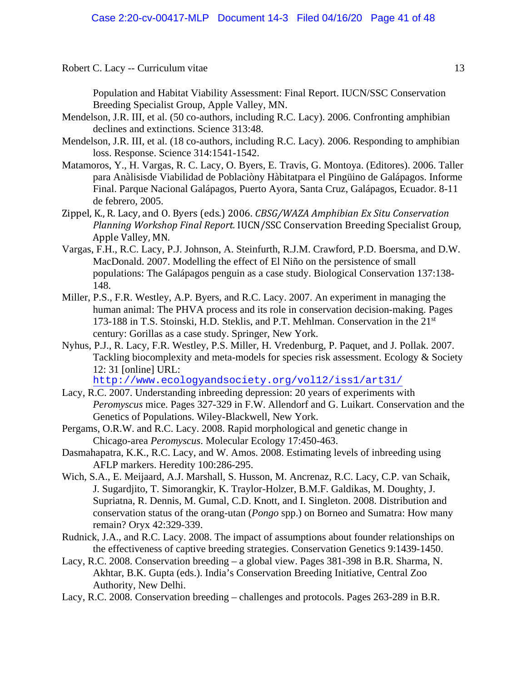Population and Habitat Viability Assessment: Final Report. IUCN/SSC Conservation Breeding Specialist Group, Apple Valley, MN.

- Mendelson, J.R. III, et al. (50 co-authors, including R.C. Lacy). 2006. Confronting amphibian declines and extinctions. Science 313:48.
- Mendelson, J.R. III, et al. (18 co-authors, including R.C. Lacy). 2006. Responding to amphibian loss. Response. Science 314:1541-1542.
- Matamoros, Y., H. Vargas, R. C. Lacy, O. Byers, E. Travis, G. Montoya. (Editores). 2006. Taller para Anàlisisde Viabilidad de Poblaciòny Hàbitatpara el Pingüino de Galápagos. Informe Final. Parque Nacional Galápagos, Puerto Ayora, Santa Cruz, Galápagos, Ecuador. 8-11 de febrero, 2005.
- Zippel, K., R. Lacy, and O. Byers (eds.) 2006. *CBSG/WAZA Amphibian Ex Situ Conservation Planning Workshop Final Report.* IUCN/SSC Conservation Breeding Specialist Group, Apple Valley, MN.
- Vargas, F.H., R.C. Lacy, P.J. Johnson, A. Steinfurth, R.J.M. Crawford, P.D. Boersma, and D.W. MacDonald. 2007. Modelling the effect of El Niño on the persistence of small populations: The Galápagos penguin as a case study. Biological Conservation 137:138- 148.
- Miller, P.S., F.R. Westley, A.P. Byers, and R.C. Lacy. 2007. An experiment in managing the human animal: The PHVA process and its role in conservation decision-making. Pages 173-188 in T.S. Stoinski, H.D. Steklis, and P.T. Mehlman. Conservation in the 21st century: Gorillas as a case study. Springer, New York.
- Nyhus, P.J., R. Lacy, F.R. Westley, P.S. Miller, H. Vredenburg, P. Paquet, and J. Pollak. 2007. Tackling biocomplexity and meta-models for species risk assessment. Ecology & Society 12: 31 [online] URL:

<http://www.ecologyandsociety.org/vol12/iss1/art31/>

- Lacy, R.C. 2007. Understanding inbreeding depression: 20 years of experiments with *Peromyscus* mice. Pages 327-329 in F.W. Allendorf and G. Luikart. Conservation and the Genetics of Populations. Wiley-Blackwell, New York.
- Pergams, O.R.W. and R.C. Lacy. 2008. Rapid morphological and genetic change in Chicago-area *Peromyscus*. Molecular Ecology 17:450-463.
- Dasmahapatra, K.K., R.C. Lacy, and W. Amos. 2008. Estimating levels of inbreeding using AFLP markers. Heredity 100:286-295.
- Wich, S.A., E. Meijaard, A.J. Marshall, S. Husson, M. Ancrenaz, R.C. Lacy, C.P. van Schaik, J. Sugardjito, T. Simorangkir, K. Traylor-Holzer, B.M.F. Galdikas, M. Doughty, J. Supriatna, R. Dennis, M. Gumal, C.D. Knott, and I. Singleton. 2008. Distribution and conservation status of the orang-utan (*Pongo* spp.) on Borneo and Sumatra: How many remain? Oryx 42:329-339.
- Rudnick, J.A., and R.C. Lacy. 2008. The impact of assumptions about founder relationships on the effectiveness of captive breeding strategies. Conservation Genetics 9:1439-1450.
- Lacy, R.C. 2008. Conservation breeding a global view. Pages 381-398 in B.R. Sharma, N. Akhtar, B.K. Gupta (eds.). India's Conservation Breeding Initiative, Central Zoo Authority, New Delhi.
- Lacy, R.C. 2008. Conservation breeding challenges and protocols. Pages 263-289 in B.R.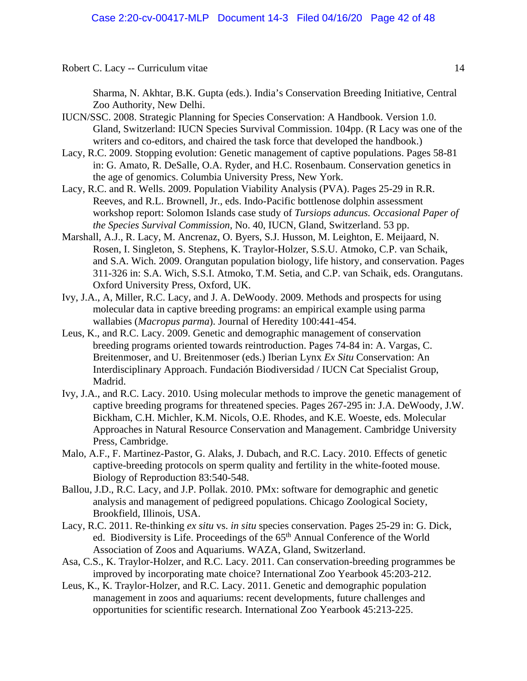Sharma, N. Akhtar, B.K. Gupta (eds.). India's Conservation Breeding Initiative, Central Zoo Authority, New Delhi.

- IUCN/SSC. 2008. Strategic Planning for Species Conservation: A Handbook. Version 1.0. Gland, Switzerland: IUCN Species Survival Commission. 104pp. (R Lacy was one of the writers and co-editors, and chaired the task force that developed the handbook.)
- Lacy, R.C. 2009. Stopping evolution: Genetic management of captive populations. Pages 58-81 in: G. Amato, R. DeSalle, O.A. Ryder, and H.C. Rosenbaum. Conservation genetics in the age of genomics. Columbia University Press, New York.
- Lacy, R.C. and R. Wells. 2009. Population Viability Analysis (PVA). Pages 25-29 in R.R. Reeves, and R.L. Brownell, Jr., eds. Indo-Pacific bottlenose dolphin assessment workshop report: Solomon Islands case study of *Tursiops aduncus. Occasional Paper of the Species Survival Commission*, No. 40, IUCN, Gland, Switzerland. 53 pp.
- Marshall, A.J., R. Lacy, M. Ancrenaz, O. Byers, S.J. Husson, M. Leighton, E. Meijaard, N. Rosen, I. Singleton, S. Stephens, K. Traylor-Holzer, S.S.U. Atmoko, C.P. van Schaik, and S.A. Wich. 2009. Orangutan population biology, life history, and conservation. Pages 311-326 in: S.A. Wich, S.S.I. Atmoko, T.M. Setia, and C.P. van Schaik, eds. Orangutans. Oxford University Press, Oxford, UK.
- Ivy, J.A., A, Miller, R.C. Lacy, and J. A. DeWoody. 2009. Methods and prospects for using molecular data in captive breeding programs: an empirical example using parma wallabies (*Macropus parma*). Journal of Heredity 100:441-454.
- Leus, K., and R.C. Lacy. 2009. Genetic and demographic management of conservation breeding programs oriented towards reintroduction. Pages 74-84 in: A. Vargas, C. Breitenmoser, and U. Breitenmoser (eds.) Iberian Lynx *Ex Situ* Conservation: An Interdisciplinary Approach. Fundación Biodiversidad / IUCN Cat Specialist Group, Madrid.
- Ivy, J.A., and R.C. Lacy. 2010. Using molecular methods to improve the genetic management of captive breeding programs for threatened species. Pages 267-295 in: J.A. DeWoody, J.W. Bickham, C.H. Michler, K.M. Nicols, O.E. Rhodes, and K.E. Woeste, eds. Molecular Approaches in Natural Resource Conservation and Management. Cambridge University Press, Cambridge.
- Malo, A.F., F. Martinez-Pastor, G. Alaks, J. Dubach, and R.C. Lacy. 2010. Effects of genetic captive-breeding protocols on sperm quality and fertility in the white-footed mouse. Biology of Reproduction 83:540-548.
- Ballou, J.D., R.C. Lacy, and J.P. Pollak. 2010. PMx: software for demographic and genetic analysis and management of pedigreed populations. Chicago Zoological Society, Brookfield, Illinois, USA.
- Lacy, R.C. 2011. Re-thinking *ex situ* vs. *in situ* species conservation. Pages 25-29 in: G. Dick, ed. Biodiversity is Life. Proceedings of the 65<sup>th</sup> Annual Conference of the World Association of Zoos and Aquariums. WAZA, Gland, Switzerland.
- Asa, C.S., K. Traylor-Holzer, and R.C. Lacy. 2011. Can conservation-breeding programmes be improved by incorporating mate choice? International Zoo Yearbook 45:203-212.
- Leus, K., K. Traylor-Holzer, and R.C. Lacy. 2011. Genetic and demographic population management in zoos and aquariums: recent developments, future challenges and opportunities for scientific research. International Zoo Yearbook 45:213-225.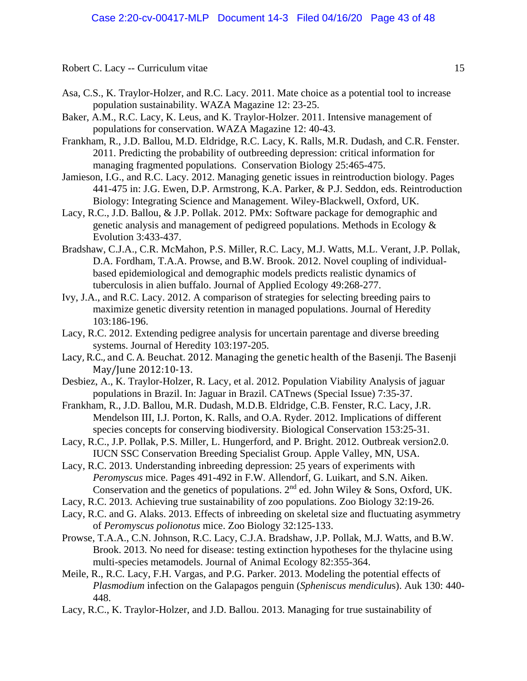- Asa, C.S., K. Traylor-Holzer, and R.C. Lacy. 2011. Mate choice as a potential tool to increase population sustainability. WAZA Magazine 12: 23-25.
- Baker, A.M., R.C. Lacy, K. Leus, and K. Traylor-Holzer. 2011. Intensive management of populations for conservation. WAZA Magazine 12: 40-43.
- Frankham, R., J.D. Ballou, M.D. Eldridge, R.C. Lacy, K. Ralls, M.R. Dudash, and C.R. Fenster. 2011. Predicting the probability of outbreeding depression: critical information for managing fragmented populations. Conservation Biology 25:465-475.
- Jamieson, I.G., and R.C. Lacy. 2012. Managing genetic issues in reintroduction biology. Pages 441-475 in: J.G. Ewen, D.P. Armstrong, K.A. Parker, & P.J. Seddon, eds. Reintroduction Biology: Integrating Science and Management. Wiley-Blackwell, Oxford, UK.
- Lacy, R.C., J.D. Ballou, & J.P. Pollak. 2012. PMx: Software package for demographic and genetic analysis and management of pedigreed populations. Methods in Ecology & Evolution 3:433-437.
- Bradshaw, C.J.A., C.R. McMahon, P.S. Miller, R.C. Lacy, M.J. Watts, M.L. Verant, J.P. Pollak, D.A. Fordham, T.A.A. Prowse, and B.W. Brook. 2012. Novel coupling of individualbased epidemiological and demographic models predicts realistic dynamics of tuberculosis in alien buffalo. Journal of Applied Ecology 49:268-277.
- Ivy, J.A., and R.C. Lacy. 2012. A comparison of strategies for selecting breeding pairs to maximize genetic diversity retention in managed populations. Journal of Heredity 103:186-196.
- Lacy, R.C. 2012. Extending pedigree analysis for uncertain parentage and diverse breeding systems. Journal of Heredity 103:197-205.
- Lacy, R.C., and C. A. Beuchat. 2012. Managing the genetic health of the Basenji. The Basenji May/June 2012:10-13.
- Desbiez, A., K. Traylor-Holzer, R. Lacy, et al. 2012. Population Viability Analysis of jaguar populations in Brazil. In: Jaguar in Brazil. CATnews (Special Issue) 7:35-37.
- Frankham, R., J.D. Ballou, M.R. Dudash, M.D.B. Eldridge, C.B. Fenster, R.C. Lacy, J.R. Mendelson III, I.J. Porton, K. Ralls, and O.A. Ryder. 2012. Implications of different species concepts for conserving biodiversity. Biological Conservation 153:25-31.
- Lacy, R.C., J.P. Pollak, P.S. Miller, L. Hungerford, and P. Bright. 2012. Outbreak version2.0. IUCN SSC Conservation Breeding Specialist Group. Apple Valley, MN, USA.
- Lacy, R.C. 2013. Understanding inbreeding depression: 25 years of experiments with *Peromyscus* mice. Pages 491-492 in F.W. Allendorf, G. Luikart, and S.N. Aiken. Conservation and the genetics of populations. 2nd ed. John Wiley & Sons, Oxford, UK.
- Lacy, R.C. 2013. Achieving true sustainability of zoo populations. Zoo Biology 32:19-26.
- Lacy, R.C. and G. Alaks. 2013. Effects of inbreeding on skeletal size and fluctuating asymmetry of *Peromyscus polionotus* mice. Zoo Biology 32:125-133.
- Prowse, T.A.A., C.N. Johnson, R.C. Lacy, C.J.A. Bradshaw, J.P. Pollak, M.J. Watts, and B.W. Brook. 2013. No need for disease: testing extinction hypotheses for the thylacine using multi-species metamodels. Journal of Animal Ecology 82:355-364.
- Meile, R., R.C. Lacy, F.H. Vargas, and P.G. Parker. 2013. Modeling the potential effects of *Plasmodium* infection on the Galapagos penguin (*Spheniscus mendiculu*s). Auk 130: 440- 448.
- Lacy, R.C., K. Traylor-Holzer, and J.D. Ballou. 2013. Managing for true sustainability of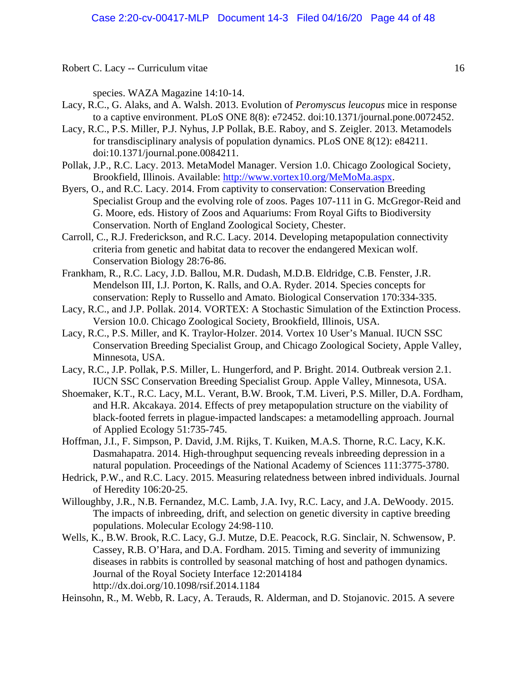species. WAZA Magazine 14:10-14.

- Lacy, R.C., G. Alaks, and A. Walsh. 2013. Evolution of *Peromyscus leucopus* mice in response to a captive environment. PLoS ONE 8(8): e72452. doi:10.1371/journal.pone.0072452.
- Lacy, R.C., P.S. Miller, P.J. Nyhus, J.P Pollak, B.E. Raboy, and S. Zeigler. 2013. Metamodels for transdisciplinary analysis of population dynamics. PLoS ONE 8(12): e84211. doi:10.1371/journal.pone.0084211.
- Pollak, J.P., R.C. Lacy. 2013. MetaModel Manager. Version 1.0. Chicago Zoological Society, Brookfield, Illinois. Available: [http://www.vortex10.org/MeMoMa.aspx.](http://www.vortex10.org/MeMoMa.aspx)
- Byers, O., and R.C. Lacy. 2014. From captivity to conservation: Conservation Breeding Specialist Group and the evolving role of zoos. Pages 107-111 in G. McGregor-Reid and G. Moore, eds. History of Zoos and Aquariums: From Royal Gifts to Biodiversity Conservation. North of England Zoological Society, Chester.
- Carroll, C., R.J. Frederickson, and R.C. Lacy. 2014. Developing metapopulation connectivity criteria from genetic and habitat data to recover the endangered Mexican wolf. Conservation Biology 28:76-86.
- Frankham, R., R.C. Lacy, J.D. Ballou, M.R. Dudash, M.D.B. Eldridge, C.B. Fenster, J.R. Mendelson III, I.J. Porton, K. Ralls, and O.A. Ryder. 2014. Species concepts for conservation: Reply to Russello and Amato. Biological Conservation 170:334-335.
- Lacy, R.C., and J.P. Pollak. 2014. VORTEX: A Stochastic Simulation of the Extinction Process. Version 10.0. Chicago Zoological Society, Brookfield, Illinois, USA.
- Lacy, R.C., P.S. Miller, and K. Traylor-Holzer. 2014. Vortex 10 User's Manual. IUCN SSC Conservation Breeding Specialist Group, and Chicago Zoological Society, Apple Valley, Minnesota, USA.
- Lacy, R.C., J.P. Pollak, P.S. Miller, L. Hungerford, and P. Bright. 2014. Outbreak version 2.1. IUCN SSC Conservation Breeding Specialist Group. Apple Valley, Minnesota, USA.
- Shoemaker, K.T., R.C. Lacy, M.L. Verant, B.W. Brook, T.M. Liveri, P.S. Miller, D.A. Fordham, and H.R. Akcakaya. 2014. Effects of prey metapopulation structure on the viability of black-footed ferrets in plague-impacted landscapes: a metamodelling approach. Journal of Applied Ecology 51:735-745.
- Hoffman, J.I., F. Simpson, P. David, J.M. Rijks, T. Kuiken, M.A.S. Thorne, R.C. Lacy, K.K. Dasmahapatra. 2014. High-throughput sequencing reveals inbreeding depression in a natural population. Proceedings of the National Academy of Sciences 111:3775-3780.
- Hedrick, P.W., and R.C. Lacy. 2015. Measuring relatedness between inbred individuals. Journal of Heredity 106:20-25.
- Willoughby, J.R., N.B. Fernandez, M.C. Lamb, J.A. Ivy, R.C. Lacy, and J.A. DeWoody. 2015. The impacts of inbreeding, drift, and selection on genetic diversity in captive breeding populations. Molecular Ecology 24:98-110.
- Wells, K., B.W. Brook, R.C. Lacy, G.J. Mutze, D.E. Peacock, R.G. Sinclair, N. Schwensow, P. Cassey, R.B. O'Hara, and D.A. Fordham. 2015. Timing and severity of immunizing diseases in rabbits is controlled by seasonal matching of host and pathogen dynamics. Journal of the Royal Society Interface 12:2014184 http://dx.doi.org/10.1098/rsif.2014.1184

Heinsohn, R., M. Webb, R. Lacy, A. Terauds, R. Alderman, and D. Stojanovic. 2015. A severe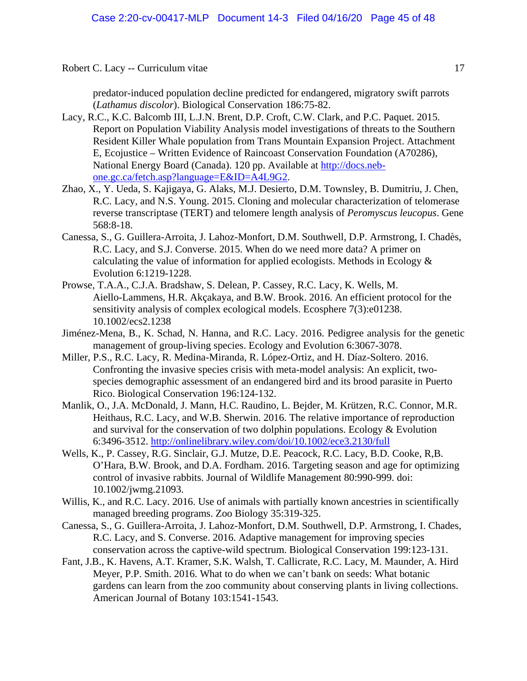predator-induced population decline predicted for endangered, migratory swift parrots (*Lathamus discolor*). Biological Conservation 186:75-82.

- Lacy, R.C., K.C. Balcomb III, L.J.N. Brent, D.P. Croft, C.W. Clark, and P.C. Paquet. 2015. Report on Population Viability Analysis model investigations of threats to the Southern Resident Killer Whale population from Trans Mountain Expansion Project. Attachment E, Ecojustice – Written Evidence of Raincoast Conservation Foundation (A70286), National Energy Board (Canada). 120 pp. Available at [http://docs.neb](http://docs.neb-one.gc.ca/fetch.asp?language=E&ID=A4L9G2)[one.gc.ca/fetch.asp?language=E&ID=A4L9G2.](http://docs.neb-one.gc.ca/fetch.asp?language=E&ID=A4L9G2)
- Zhao, X., Y. Ueda, S. Kajigaya, G. Alaks, M.J. Desierto, D.M. Townsley, B. Dumitriu, J. Chen, R.C. Lacy, and N.S. Young. 2015. Cloning and molecular characterization of telomerase reverse transcriptase (TERT) and telomere length analysis of *Peromyscus leucopus*. Gene 568:8-18.
- Canessa, S., G. Guillera-Arroita, J. Lahoz-Monfort, D.M. Southwell, D.P. Armstrong, I. Chadès, R.C. Lacy, and S.J. Converse. 2015. When do we need more data? A primer on calculating the value of information for applied ecologists. Methods in Ecology  $\&$ Evolution 6:1219-1228.
- Prowse, T.A.A., C.J.A. Bradshaw, S. Delean, P. Cassey, R.C. Lacy, K. Wells, M. Aiello-Lammens, H.R. Akçakaya, and B.W. Brook. 2016. An efficient protocol for the sensitivity analysis of complex ecological models. Ecosphere 7(3):e01238. 10.1002/ecs2.1238
- Jiménez-Mena, B., K. Schad, N. Hanna, and R.C. Lacy. 2016. Pedigree analysis for the genetic management of group-living species. Ecology and Evolution 6:3067-3078.
- Miller, P.S., R.C. Lacy, R. Medina-Miranda, R. López-Ortiz, and H. Díaz-Soltero. 2016. Confronting the invasive species crisis with meta-model analysis: An explicit, twospecies demographic assessment of an endangered bird and its brood parasite in Puerto Rico. Biological Conservation 196:124-132.
- Manlik, O., J.A. McDonald, J. Mann, H.C. Raudino, L. Bejder, M. Krützen, R.C. Connor, M.R. Heithaus, R.C. Lacy, and W.B. Sherwin. 2016. The relative importance of reproduction and survival for the conservation of two dolphin populations. Ecology & Evolution 6:3496-3512.<http://onlinelibrary.wiley.com/doi/10.1002/ece3.2130/full>
- Wells, K., P. Cassey, R.G. Sinclair, G.J. Mutze, D.E. Peacock, R.C. Lacy, B.D. Cooke, R,B. O'Hara, B.W. Brook, and D.A. Fordham. 2016. Targeting season and age for optimizing control of invasive rabbits. Journal of Wildlife Management 80:990-999. doi: 10.1002/jwmg.21093.
- Willis, K., and R.C. Lacy. 2016. Use of animals with partially known ancestries in scientifically managed breeding programs. Zoo Biology 35:319-325.
- Canessa, S., G. Guillera-Arroita, J. Lahoz-Monfort, D.M. Southwell, D.P. Armstrong, I. Chades, R.C. Lacy, and S. Converse. 2016. Adaptive management for improving species conservation across the captive-wild spectrum. Biological Conservation 199:123-131.
- Fant, J.B., K. Havens, A.T. Kramer, S.K. Walsh, T. Callicrate, R.C. Lacy, M. Maunder, A. Hird Meyer, P.P. Smith. 2016. What to do when we can't bank on seeds: What botanic gardens can learn from the zoo community about conserving plants in living collections. American Journal of Botany 103:1541-1543.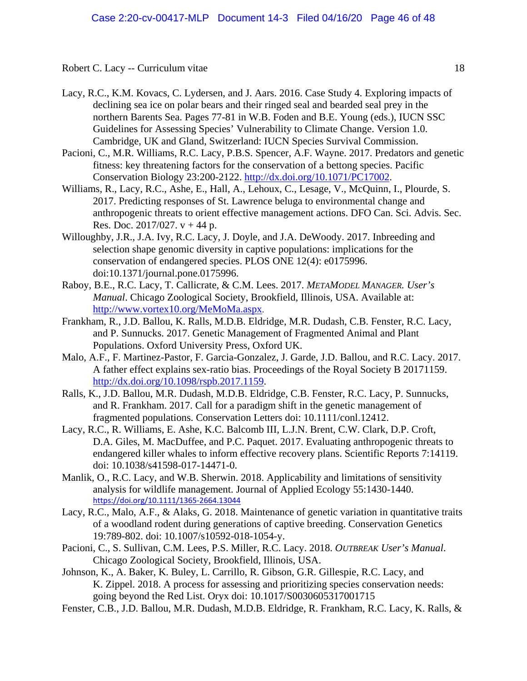- Lacy, R.C., K.M. Kovacs, C. Lydersen, and J. Aars. 2016. Case Study 4. Exploring impacts of declining sea ice on polar bears and their ringed seal and bearded seal prey in the northern Barents Sea. Pages 77-81 in W.B. Foden and B.E. Young (eds.), IUCN SSC Guidelines for Assessing Species' Vulnerability to Climate Change. Version 1.0. Cambridge, UK and Gland, Switzerland: IUCN Species Survival Commission.
- Pacioni, C., M.R. Williams, R.C. Lacy, P.B.S. Spencer, A.F. Wayne. 2017. Predators and genetic fitness: key threatening factors for the conservation of a bettong species. Pacific Conservation Biology 23:200-2122. [http://dx.doi.org/10.1071/PC17002.](http://dx.doi.org/10.1071/PC17002)
- Williams, R., Lacy, R.C., Ashe, E., Hall, A., Lehoux, C., Lesage, V., McQuinn, I., Plourde, S. 2017. Predicting responses of St. Lawrence beluga to environmental change and anthropogenic threats to orient effective management actions. DFO Can. Sci. Advis. Sec. Res. Doc. 2017/027.  $v + 44$  p.
- Willoughby, J.R., J.A. Ivy, R.C. Lacy, J. Doyle, and J.A. DeWoody. 2017. Inbreeding and selection shape genomic diversity in captive populations: implications for the conservation of endangered species. PLOS ONE 12(4): e0175996. doi:10.1371/journal.pone.0175996.
- Raboy, B.E., R.C. Lacy, T. Callicrate, & C.M. Lees. 2017. *METAMODEL MANAGER. User's Manual*. Chicago Zoological Society, Brookfield, Illinois, USA. Available at: [http://www.vortex10.org/MeMoMa.aspx.](http://www.vortex10.org/MeMoMa.aspx)
- Frankham, R., J.D. Ballou, K. Ralls, M.D.B. Eldridge, M.R. Dudash, C.B. Fenster, R.C. Lacy, and P. Sunnucks. 2017. Genetic Management of Fragmented Animal and Plant Populations. Oxford University Press, Oxford UK.
- Malo, A.F., F. Martinez-Pastor, F. Garcia-Gonzalez, J. Garde, J.D. Ballou, and R.C. Lacy. 2017. A father effect explains sex-ratio bias. Proceedings of the Royal Society B 20171159. [http://dx.doi.org/10.1098/rspb.2017.1159.](http://dx.doi.org/10.1098/rspb.2017.1159)
- Ralls, K., J.D. Ballou, M.R. Dudash, M.D.B. Eldridge, C.B. Fenster, R.C. Lacy, P. Sunnucks, and R. Frankham. 2017. Call for a paradigm shift in the genetic management of fragmented populations. Conservation Letters doi: 10.1111/conl.12412.
- Lacy, R.C., R. Williams, E. Ashe, K.C. Balcomb III, L.J.N. Brent, C.W. Clark, D.P. Croft, D.A. Giles, M. MacDuffee, and P.C. Paquet. 2017. Evaluating anthropogenic threats to endangered killer whales to inform effective recovery plans. Scientific Reports 7:14119. doi: 10.1038/s41598-017-14471-0.
- Manlik, O., R.C. Lacy, and W.B. Sherwin. 2018. Applicability and limitations of sensitivity analysis for wildlife management. Journal of Applied Ecology 55:1430-1440. <https://doi.org/10.1111/1365-2664.13044>
- Lacy, R.C., Malo, A.F., & Alaks, G. 2018. Maintenance of genetic variation in quantitative traits of a woodland rodent during generations of captive breeding. Conservation Genetics 19:789-802. doi: 10.1007/s10592-018-1054-y.
- Pacioni, C., S. Sullivan, C.M. Lees, P.S. Miller, R.C. Lacy. 2018. *OUTBREAK User's Manual*. Chicago Zoological Society, Brookfield, Illinois, USA.
- Johnson, K., A. Baker, K. Buley, L. Carrillo, R. Gibson, G.R. Gillespie, R.C. Lacy, and K. Zippel. 2018. A process for assessing and prioritizing species conservation needs: going beyond the Red List. Oryx doi: 10.1017/S0030605317001715
- Fenster, C.B., J.D. Ballou, M.R. Dudash, M.D.B. Eldridge, R. Frankham, R.C. Lacy, K. Ralls, &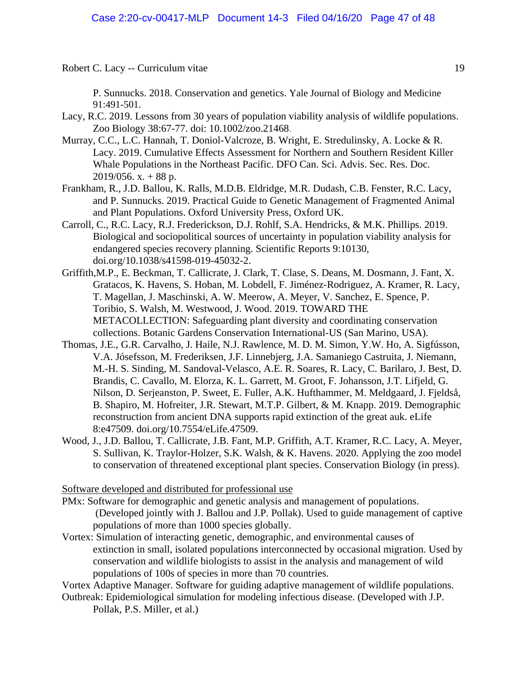P. Sunnucks. 2018. Conservation and genetics. Yale Journal of Biology and Medicine 91:491-501.

- Lacy, R.C. 2019. Lessons from 30 years of population viability analysis of wildlife populations. Zoo Biology 38:67-77. doi: 10.1002/zoo.21468.
- Murray, C.C., L.C. Hannah, T. Doniol-Valcroze, B. Wright, E. Stredulinsky, A. Locke & R. Lacy. 2019. Cumulative Effects Assessment for Northern and Southern Resident Killer Whale Populations in the Northeast Pacific. DFO Can. Sci. Advis. Sec. Res. Doc.  $2019/056$ . x. + 88 p.
- Frankham, R., J.D. Ballou, K. Ralls, M.D.B. Eldridge, M.R. Dudash, C.B. Fenster, R.C. Lacy, and P. Sunnucks. 2019. Practical Guide to Genetic Management of Fragmented Animal and Plant Populations. Oxford University Press, Oxford UK.
- Carroll, C., R.C. Lacy, R.J. Frederickson, D.J. Rohlf, S.A. Hendricks, & M.K. Phillips. 2019. Biological and sociopolitical sources of uncertainty in population viability analysis for endangered species recovery planning. Scientific Reports 9:10130, doi.org/10.1038/s41598-019-45032-2.
- Griffith,M.P., E. Beckman, T. Callicrate, J. Clark, T. Clase, S. Deans, M. Dosmann, J. Fant, X. Gratacos, K. Havens, S. Hoban, M. Lobdell, F. Jiménez-Rodriguez, A. Kramer, R. Lacy, T. Magellan, J. Maschinski, A. W. Meerow, A. Meyer, V. Sanchez, E. Spence, P. Toribio, S. Walsh, M. Westwood, J. Wood. 2019. TOWARD THE METACOLLECTION: Safeguarding plant diversity and coordinating conservation collections. Botanic Gardens Conservation International-US (San Marino, USA).
- Thomas, J.E., G.R. Carvalho, J. Haile, N.J. Rawlence, M. D. M. Simon, Y.W. Ho, A. Sigfússon, V.A. Jósefsson, M. Frederiksen, J.F. Linnebjerg, J.A. Samaniego Castruita, J. Niemann, M.-H. S. Sinding, M. Sandoval-Velasco, A.E. R. Soares, R. Lacy, C. Barilaro, J. Best, D. Brandis, C. Cavallo, M. Elorza, K. L. Garrett, M. Groot, F. Johansson, J.T. Lifjeld, G. Nilson, D. Serjeanston, P. Sweet, E. Fuller, A.K. Hufthammer, M. Meldgaard, J. Fjeldså, B. Shapiro, M. Hofreiter, J.R. Stewart, M.T.P. Gilbert, & M. Knapp. 2019. Demographic reconstruction from ancient DNA supports rapid extinction of the great auk. eLife 8:e47509. doi.org/10.7554/eLife.47509.
- Wood, J., J.D. Ballou, T. Callicrate, J.B. Fant, M.P. Griffith, A.T. Kramer, R.C. Lacy, A. Meyer, S. Sullivan, K. Traylor-Holzer, S.K. Walsh, & K. Havens. 2020. Applying the zoo model to conservation of threatened exceptional plant species. Conservation Biology (in press).

# Software developed and distributed for professional use

- PMx: Software for demographic and genetic analysis and management of populations. (Developed jointly with J. Ballou and J.P. Pollak). Used to guide management of captive populations of more than 1000 species globally.
- Vortex: Simulation of interacting genetic, demographic, and environmental causes of extinction in small, isolated populations interconnected by occasional migration. Used by conservation and wildlife biologists to assist in the analysis and management of wild populations of 100s of species in more than 70 countries.

Vortex Adaptive Manager. Software for guiding adaptive management of wildlife populations. Outbreak: Epidemiological simulation for modeling infectious disease. (Developed with J.P.

Pollak, P.S. Miller, et al.)